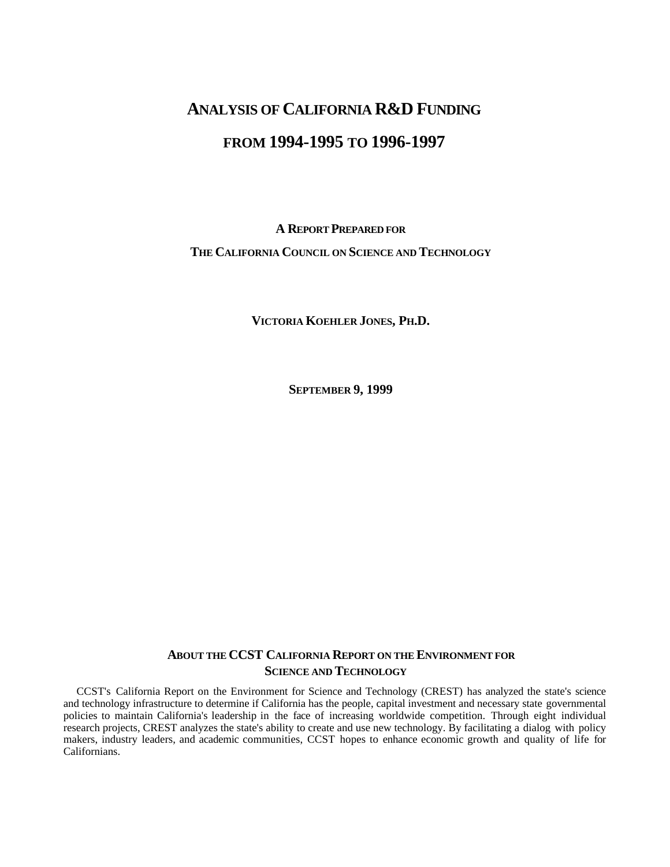# **ANALYSIS OF CALIFORNIA R&D FUNDING FROM 1994-1995 TO 1996-1997**

## **A REPORT PREPARED FOR THE CALIFORNIA COUNCIL ON SCIENCE AND TECHNOLOGY**

**VICTORIA KOEHLER JONES, PH.D.**

**SEPTEMBER 9, 1999**

## **ABOUT THE CCST CALIFORNIA REPORT ON THE ENVIRONMENT FOR SCIENCE AND TECHNOLOGY**

CCST's California Report on the Environment for Science and Technology (CREST) has analyzed the state's science and technology infrastructure to determine if California has the people, capital investment and necessary state governmental policies to maintain California's leadership in the face of increasing worldwide competition. Through eight individual research projects, CREST analyzes the state's ability to create and use new technology. By facilitating a dialog with policy makers, industry leaders, and academic communities, CCST hopes to enhance economic growth and quality of life for Californians.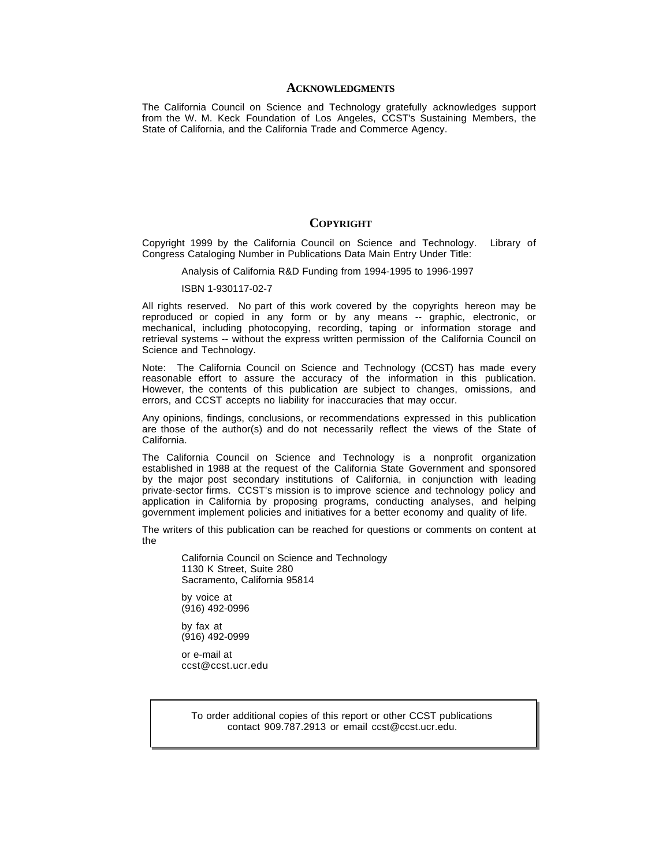#### **ACKNOWLEDGMENTS**

The California Council on Science and Technology gratefully acknowledges support from the W. M. Keck Foundation of Los Angeles, CCST's Sustaining Members, the State of California, and the California Trade and Commerce Agency.

### **COPYRIGHT**

Copyright 1999 by the California Council on Science and Technology. Library of Congress Cataloging Number in Publications Data Main Entry Under Title:

Analysis of California R&D Funding from 1994-1995 to 1996-1997

#### ISBN 1-930117-02-7

All rights reserved. No part of this work covered by the copyrights hereon may be reproduced or copied in any form or by any means -- graphic, electronic, or mechanical, including photocopying, recording, taping or information storage and retrieval systems -- without the express written permission of the California Council on Science and Technology.

Note: The California Council on Science and Technology (CCST) has made every reasonable effort to assure the accuracy of the information in this publication. However, the contents of this publication are subject to changes, omissions, and errors, and CCST accepts no liability for inaccuracies that may occur.

Any opinions, findings, conclusions, or recommendations expressed in this publication are those of the author(s) and do not necessarily reflect the views of the State of California.

The California Council on Science and Technology is a nonprofit organization established in 1988 at the request of the California State Government and sponsored by the major post secondary institutions of California, in conjunction with leading private-sector firms. CCST's mission is to improve science and technology policy and application in California by proposing programs, conducting analyses, and helping government implement policies and initiatives for a better economy and quality of life.

The writers of this publication can be reached for questions or comments on content at the

California Council on Science and Technology 1130 K Street, Suite 280 Sacramento, California 95814

by voice at (916) 492-0996

by fax at (916) 492-0999

or e-mail at ccst@ccst.ucr.edu

> To order additional copies of this report or other CCST publications contact 909.787.2913 or email ccst@ccst.ucr.edu.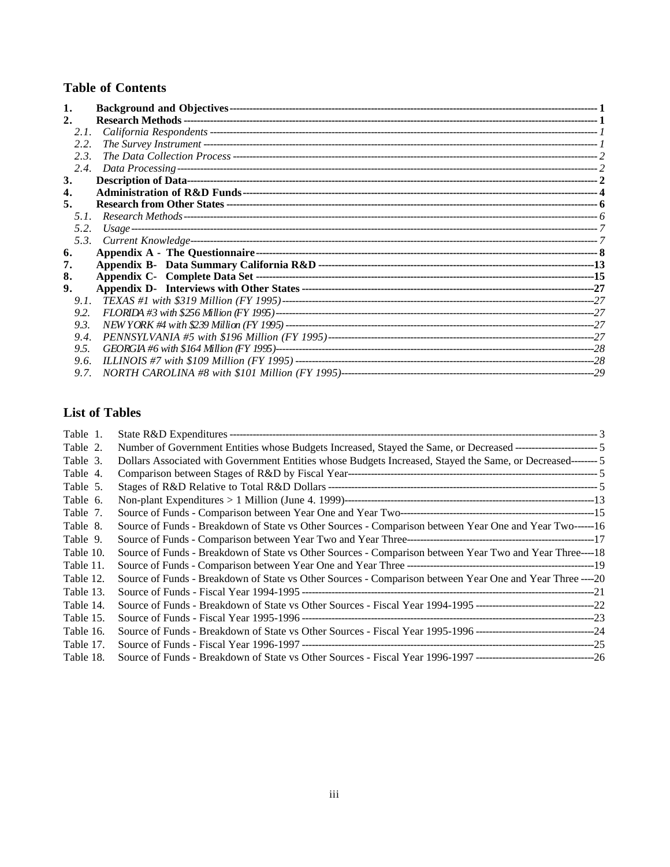## **Table of Contents**

| 2.   |      |  |
|------|------|--|
|      | 2.1. |  |
| 2.2. |      |  |
|      | 2.3. |  |
|      | 2.4. |  |
| 3.   |      |  |
| 4.   |      |  |
| 5.   |      |  |
|      | 51   |  |
|      | 5.2. |  |
|      |      |  |
| 6.   |      |  |
| 7.   |      |  |
| 8.   |      |  |
| 9.   |      |  |
|      | 9.1. |  |
| 9.2. |      |  |
| 9.3. |      |  |
|      | 9.4. |  |
| 9.5. |      |  |
|      | 9.6. |  |
|      | 9.7. |  |

## **List of Tables**

| Table 1.  |                                                                                                                |  |
|-----------|----------------------------------------------------------------------------------------------------------------|--|
| Table 2.  |                                                                                                                |  |
| Table 3.  | Dollars Associated with Government Entities whose Budgets Increased, Stayed the Same, or Decreased———————————— |  |
| Table 4.  |                                                                                                                |  |
| Table 5.  |                                                                                                                |  |
| Table 6.  |                                                                                                                |  |
| Table 7.  |                                                                                                                |  |
| Table 8.  | Source of Funds - Breakdown of State vs Other Sources - Comparison between Year One and Year Two------ 16      |  |
| Table 9.  |                                                                                                                |  |
| Table 10. | Source of Funds - Breakdown of State vs Other Sources - Comparison between Year Two and Year Three----18       |  |
| Table 11. |                                                                                                                |  |
| Table 12. | Source of Funds - Breakdown of State vs Other Sources - Comparison between Year One and Year Three ---- 20     |  |
| Table 13. |                                                                                                                |  |
| Table 14. |                                                                                                                |  |
| Table 15. |                                                                                                                |  |
| Table 16. |                                                                                                                |  |
| Table 17. |                                                                                                                |  |
| Table 18. |                                                                                                                |  |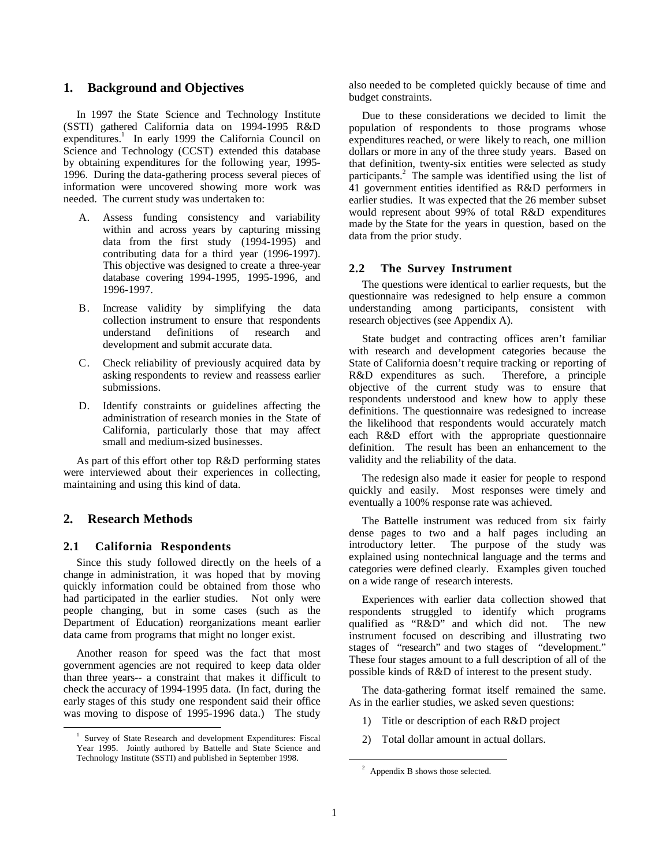## **1. Background and Objectives**

In 1997 the State Science and Technology Institute (SSTI) gathered California data on 1994-1995 R&D expenditures.<sup>1</sup> In early 1999 the California Council on Science and Technology (CCST) extended this database by obtaining expenditures for the following year, 1995- 1996. During the data-gathering process several pieces of information were uncovered showing more work was needed. The current study was undertaken to:

- A. Assess funding consistency and variability within and across years by capturing missing data from the first study (1994-1995) and contributing data for a third year (1996-1997). This objective was designed to create a three-year database covering 1994-1995, 1995-1996, and 1996-1997.
- B. Increase validity by simplifying the data collection instrument to ensure that respondents understand definitions of research and development and submit accurate data.
- C. Check reliability of previously acquired data by asking respondents to review and reassess earlier submissions.
- D. Identify constraints or guidelines affecting the administration of research monies in the State of California, particularly those that may affect small and medium-sized businesses.

As part of this effort other top R&D performing states were interviewed about their experiences in collecting, maintaining and using this kind of data.

## **2. Research Methods**

## **2.1 California Respondents**

Since this study followed directly on the heels of a change in administration, it was hoped that by moving quickly information could be obtained from those who had participated in the earlier studies. Not only were people changing, but in some cases (such as the Department of Education) reorganizations meant earlier data came from programs that might no longer exist.

Another reason for speed was the fact that most government agencies are not required to keep data older than three years-- a constraint that makes it difficult to check the accuracy of 1994-1995 data. (In fact, during the early stages of this study one respondent said their office was moving to dispose of 1995-1996 data.) The study also needed to be completed quickly because of time and budget constraints.

Due to these considerations we decided to limit the population of respondents to those programs whose expenditures reached, or were likely to reach, one million dollars or more in any of the three study years. Based on that definition, twenty-six entities were selected as study participants.<sup>2</sup> The sample was identified using the list of 41 government entities identified as R&D performers in earlier studies. It was expected that the 26 member subset would represent about 99% of total R&D expenditures made by the State for the years in question, based on the data from the prior study.

## **2.2 The Survey Instrument**

The questions were identical to earlier requests, but the questionnaire was redesigned to help ensure a common understanding among participants, consistent with research objectives (see Appendix A).

State budget and contracting offices aren't familiar with research and development categories because the State of California doesn't require tracking or reporting of R&D expenditures as such. Therefore, a principle objective of the current study was to ensure that respondents understood and knew how to apply these definitions. The questionnaire was redesigned to increase the likelihood that respondents would accurately match each R&D effort with the appropriate questionnaire definition. The result has been an enhancement to the validity and the reliability of the data.

The redesign also made it easier for people to respond quickly and easily. Most responses were timely and eventually a 100% response rate was achieved.

The Battelle instrument was reduced from six fairly dense pages to two and a half pages including an introductory letter. The purpose of the study was explained using nontechnical language and the terms and categories were defined clearly. Examples given touched on a wide range of research interests.

Experiences with earlier data collection showed that respondents struggled to identify which programs qualified as "R&D" and which did not. The new instrument focused on describing and illustrating two stages of "research" and two stages of "development." These four stages amount to a full description of all of the possible kinds of R&D of interest to the present study.

The data-gathering format itself remained the same. As in the earlier studies, we asked seven questions:

- 1) Title or description of each R&D project
- 2) Total dollar amount in actual dollars.

<sup>1</sup> Survey of State Research and development Expenditures: Fiscal Year 1995. Jointly authored by Battelle and State Science and Technology Institute (SSTI) and published in September 1998.

 $2$  Appendix B shows those selected.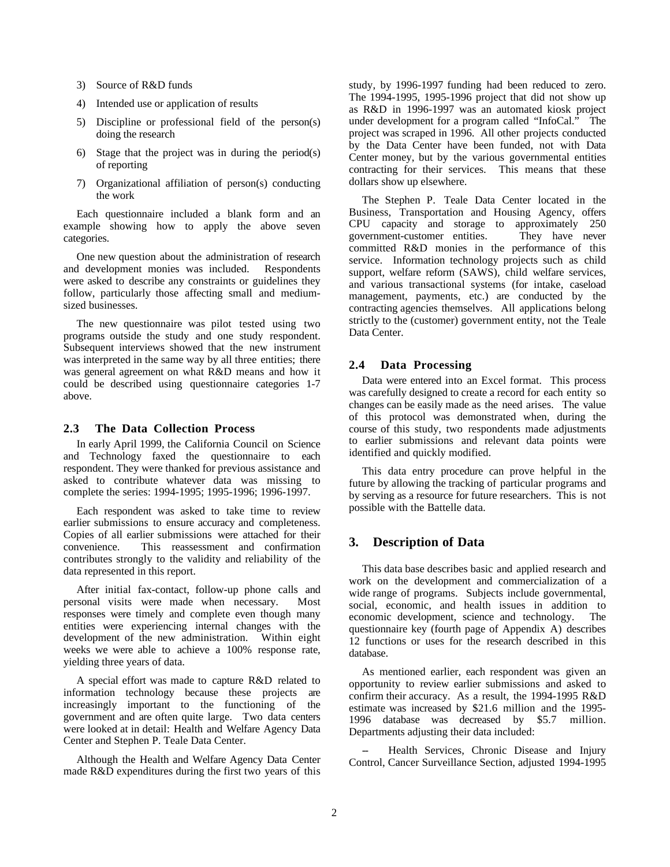- 3) Source of R&D funds
- 4) Intended use or application of results
- 5) Discipline or professional field of the person(s) doing the research
- 6) Stage that the project was in during the period(s) of reporting
- 7) Organizational affiliation of person(s) conducting the work

Each questionnaire included a blank form and an example showing how to apply the above seven categories.

One new question about the administration of research and development monies was included. Respondents were asked to describe any constraints or guidelines they follow, particularly those affecting small and mediumsized businesses.

The new questionnaire was pilot tested using two programs outside the study and one study respondent. Subsequent interviews showed that the new instrument was interpreted in the same way by all three entities; there was general agreement on what R&D means and how it could be described using questionnaire categories 1-7 above.

## **2.3 The Data Collection Process**

In early April 1999, the California Council on Science and Technology faxed the questionnaire to each respondent. They were thanked for previous assistance and asked to contribute whatever data was missing to complete the series: 1994-1995; 1995-1996; 1996-1997.

Each respondent was asked to take time to review earlier submissions to ensure accuracy and completeness. Copies of all earlier submissions were attached for their convenience. This reassessment and confirmation contributes strongly to the validity and reliability of the data represented in this report.

After initial fax-contact, follow-up phone calls and personal visits were made when necessary. Most responses were timely and complete even though many entities were experiencing internal changes with the development of the new administration. Within eight weeks we were able to achieve a 100% response rate, yielding three years of data.

A special effort was made to capture R&D related to information technology because these projects are increasingly important to the functioning of the government and are often quite large. Two data centers were looked at in detail: Health and Welfare Agency Data Center and Stephen P. Teale Data Center.

Although the Health and Welfare Agency Data Center made R&D expenditures during the first two years of this study, by 1996-1997 funding had been reduced to zero. The 1994-1995, 1995-1996 project that did not show up as R&D in 1996-1997 was an automated kiosk project under development for a program called "InfoCal." The project was scraped in 1996. All other projects conducted by the Data Center have been funded, not with Data Center money, but by the various governmental entities contracting for their services. This means that these dollars show up elsewhere.

The Stephen P. Teale Data Center located in the Business, Transportation and Housing Agency, offers CPU capacity and storage to approximately 250 government-customer entities. They have never committed R&D monies in the performance of this service. Information technology projects such as child support, welfare reform (SAWS), child welfare services, and various transactional systems (for intake, caseload management, payments, etc.) are conducted by the contracting agencies themselves. All applications belong strictly to the (customer) government entity, not the Teale Data Center.

## **2.4 Data Processing**

Data were entered into an Excel format. This process was carefully designed to create a record for each entity so changes can be easily made as the need arises. The value of this protocol was demonstrated when, during the course of this study, two respondents made adjustments to earlier submissions and relevant data points were identified and quickly modified.

This data entry procedure can prove helpful in the future by allowing the tracking of particular programs and by serving as a resource for future researchers. This is not possible with the Battelle data.

## **3. Description of Data**

This data base describes basic and applied research and work on the development and commercialization of a wide range of programs. Subjects include governmental, social, economic, and health issues in addition to economic development, science and technology. The questionnaire key (fourth page of Appendix A) describes 12 functions or uses for the research described in this database.

As mentioned earlier, each respondent was given an opportunity to review earlier submissions and asked to confirm their accuracy. As a result, the 1994-1995 R&D estimate was increased by \$21.6 million and the 1995- 1996 database was decreased by \$5.7 million. Departments adjusting their data included:

Health Services, Chronic Disease and Injury Control, Cancer Surveillance Section, adjusted 1994-1995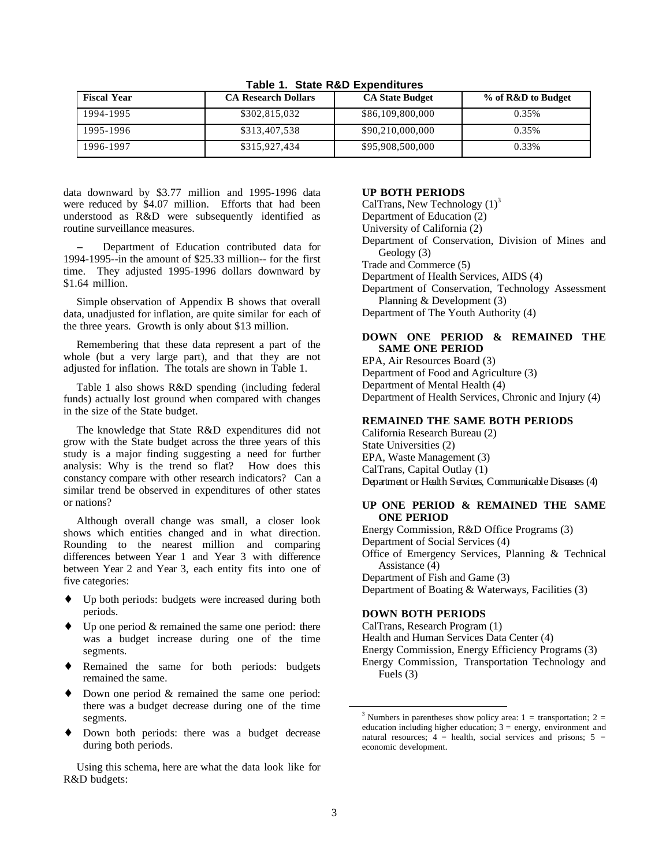| <b>Fiscal Year</b> | <b>CA Research Dollars</b> | <b>CA State Budget</b> | % of R&D to Budget |
|--------------------|----------------------------|------------------------|--------------------|
| 1994-1995          | \$302,815,032              | \$86,109,800,000       | 0.35%              |
| 1995-1996          | \$313,407,538              | \$90,210,000,000       | 0.35%              |
| 1996-1997          | \$315,927,434              | \$95,908,500,000       | 0.33%              |

**Table 1. State R&D Expenditures**

data downward by \$3.77 million and 1995-1996 data were reduced by \$4.07 million. Efforts that had been understood as R&D were subsequently identified as routine surveillance measures.

Department of Education contributed data for 1994-1995--in the amount of \$25.33 million-- for the first time. They adjusted 1995-1996 dollars downward by \$1.64 million.

Simple observation of Appendix B shows that overall data, unadjusted for inflation, are quite similar for each of the three years. Growth is only about \$13 million.

Remembering that these data represent a part of the whole (but a very large part), and that they are not adjusted for inflation. The totals are shown in Table 1.

Table 1 also shows R&D spending (including federal funds) actually lost ground when compared with changes in the size of the State budget.

The knowledge that State R&D expenditures did not grow with the State budget across the three years of this study is a major finding suggesting a need for further analysis: Why is the trend so flat? How does this constancy compare with other research indicators? Can a similar trend be observed in expenditures of other states or nations?

Although overall change was small, a closer look shows which entities changed and in what direction. Rounding to the nearest million and comparing differences between Year 1 and Year 3 with difference between Year 2 and Year 3, each entity fits into one of five categories:

- Up both periods: budgets were increased during both periods.
- $\bullet$  Up one period & remained the same one period: there was a budget increase during one of the time segments.
- ♦ Remained the same for both periods: budgets remained the same.
- ♦ Down one period & remained the same one period: there was a budget decrease during one of the time segments.
- ♦ Down both periods: there was a budget decrease during both periods.

Using this schema, here are what the data look like for R&D budgets:

## **UP BOTH PERIODS**

CalTrans, New Technology  $(1)^3$ Department of Education (2) University of California (2) Department of Conservation, Division of Mines and Geology (3) Trade and Commerce (5) Department of Health Services, AIDS (4) Department of Conservation, Technology Assessment Planning & Development (3) Department of The Youth Authority (4)

## **DOWN ONE PERIOD & REMAINED THE SAME ONE PERIOD**

EPA, Air Resources Board (3) Department of Food and Agriculture (3) Department of Mental Health (4) Department of Health Services, Chronic and Injury (4)

## **REMAINED THE SAME BOTH PERIODS**

California Research Bureau (2) State Universities (2) EPA, Waste Management (3) CalTrans, Capital Outlay (1) Department or Health Services, Communicable Diseases (4)

## **UP ONE PERIOD & REMAINED THE SAME ONE PERIOD**

Energy Commission, R&D Office Programs (3) Department of Social Services (4) Office of Emergency Services, Planning & Technical Assistance (4) Department of Fish and Game (3) Department of Boating & Waterways, Facilities (3)

## **DOWN BOTH PERIODS**

CalTrans, Research Program (1) Health and Human Services Data Center (4) Energy Commission, Energy Efficiency Programs (3) Energy Commission, Transportation Technology and Fuels (3)

<sup>&</sup>lt;sup>3</sup> Numbers in parentheses show policy area: 1 = transportation; 2 = education including higher education;  $3 =$  energy, environment and natural resources;  $4 =$  health, social services and prisons;  $5 =$ economic development.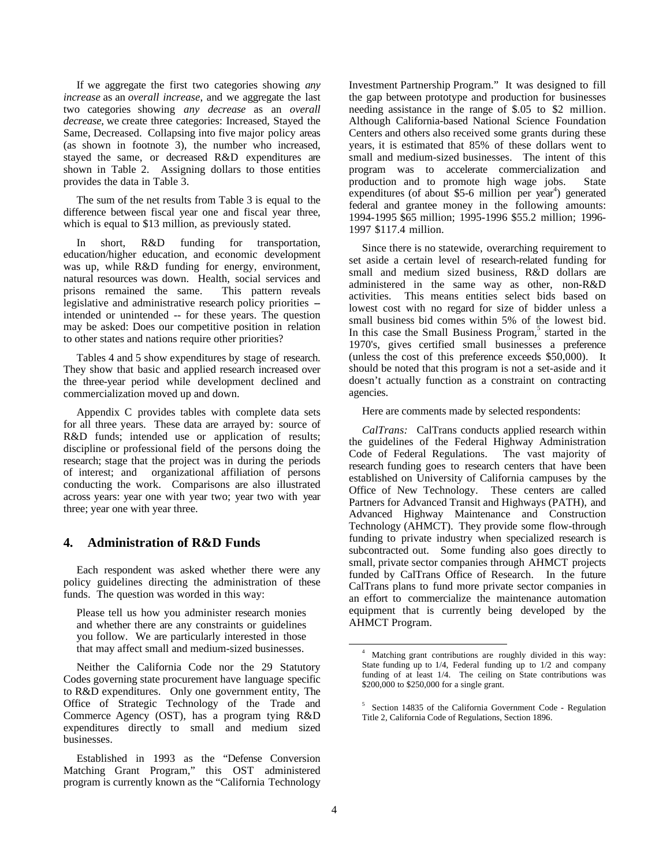If we aggregate the first two categories showing *any increase* as an *overall increase*, and we aggregate the last two categories showing *any decrease* as an *overall decrease*, we create three categories: Increased, Stayed the Same, Decreased. Collapsing into five major policy areas (as shown in footnote 3), the number who increased, stayed the same, or decreased R&D expenditures are shown in Table 2. Assigning dollars to those entities provides the data in Table 3.

The sum of the net results from Table 3 is equal to the difference between fiscal year one and fiscal year three, which is equal to \$13 million, as previously stated.

In short, R&D funding for transportation, education/higher education, and economic development was up, while R&D funding for energy, environment, natural resources was down. Health, social services and prisons remained the same. This pattern reveals legislative and administrative research policy priorities -intended or unintended -- for these years. The question may be asked: Does our competitive position in relation to other states and nations require other priorities?

Tables 4 and 5 show expenditures by stage of research. They show that basic and applied research increased over the three-year period while development declined and commercialization moved up and down.

Appendix C provides tables with complete data sets for all three years. These data are arrayed by: source of R&D funds; intended use or application of results; discipline or professional field of the persons doing the research; stage that the project was in during the periods of interest; and organizational affiliation of persons conducting the work. Comparisons are also illustrated across years: year one with year two; year two with year three; year one with year three.

## **4. Administration of R&D Funds**

Each respondent was asked whether there were any policy guidelines directing the administration of these funds. The question was worded in this way:

Please tell us how you administer research monies and whether there are any constraints or guidelines you follow. We are particularly interested in those that may affect small and medium-sized businesses.

Neither the California Code nor the 29 Statutory Codes governing state procurement have language specific to R&D expenditures. Only one government entity, The Office of Strategic Technology of the Trade and Commerce Agency (OST), has a program tying R&D expenditures directly to small and medium sized businesses.

Established in 1993 as the "Defense Conversion Matching Grant Program," this OST administered program is currently known as the "California Technology Investment Partnership Program." It was designed to fill the gap between prototype and production for businesses needing assistance in the range of \$.05 to \$2 million. Although California-based National Science Foundation Centers and others also received some grants during these years, it is estimated that 85% of these dollars went to small and medium-sized businesses. The intent of this program was to accelerate commercialization and production and to promote high wage jobs. State expenditures (of about \$5-6 million per year<sup>4</sup>) generated federal and grantee money in the following amounts: 1994-1995 \$65 million; 1995-1996 \$55.2 million; 1996- 1997 \$117.4 million.

Since there is no statewide, overarching requirement to set aside a certain level of research-related funding for small and medium sized business, R&D dollars are administered in the same way as other, non-R&D activities. This means entities select bids based on lowest cost with no regard for size of bidder unless a small business bid comes within 5% of the lowest bid. In this case the Small Business Program,<sup>5</sup> started in the 1970's, gives certified small businesses a preference (unless the cost of this preference exceeds \$50,000). It should be noted that this program is not a set-aside and it doesn't actually function as a constraint on contracting agencies.

Here are comments made by selected respondents:

*CalTrans:* CalTrans conducts applied research within the guidelines of the Federal Highway Administration Code of Federal Regulations. The vast majority of research funding goes to research centers that have been established on University of California campuses by the Office of New Technology. These centers are called Partners for Advanced Transit and Highways (PATH), and Advanced Highway Maintenance and Construction Technology (AHMCT). They provide some flow-through funding to private industry when specialized research is subcontracted out. Some funding also goes directly to small, private sector companies through AHMCT projects funded by CalTrans Office of Research. In the future CalTrans plans to fund more private sector companies in an effort to commercialize the maintenance automation equipment that is currently being developed by the AHMCT Program.

Matching grant contributions are roughly divided in this way: State funding up to 1/4, Federal funding up to 1/2 and company funding of at least  $1/4$ . The ceiling on State contributions was \$200,000 to \$250,000 for a single grant.

<sup>&</sup>lt;sup>5</sup> Section 14835 of the California Government Code - Regulation Title 2, California Code of Regulations, Section 1896.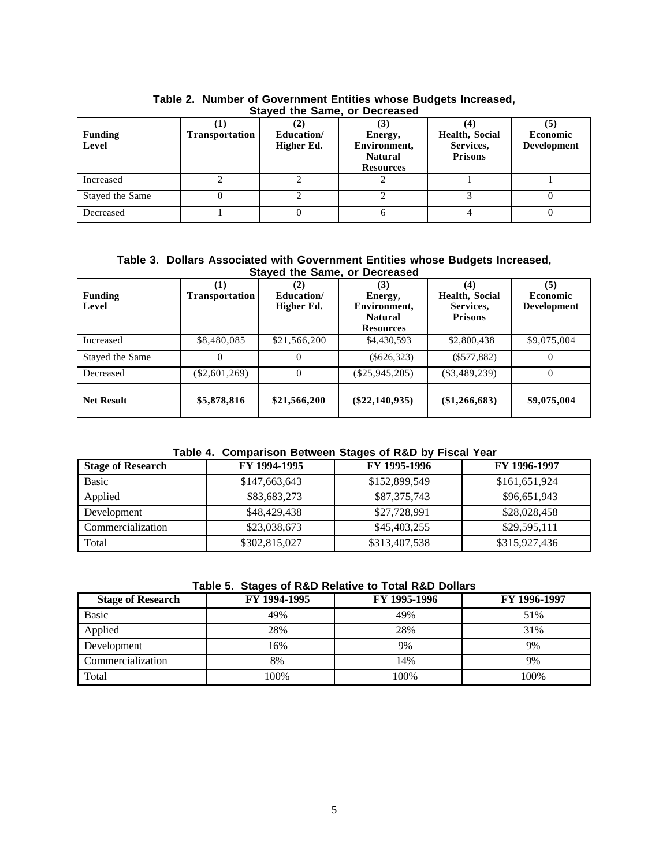| <b>Funding</b><br>Level | <b>Transportation</b> | Education/<br>Higher Ed. | <b>UNIVER THE DATION OF BEDICASCA</b><br>IJ<br>Energy,<br>Environment,<br><b>Natural</b><br><b>Resources</b> | Health, Social<br>Services,<br><b>Prisons</b> | <b>Economic</b><br><b>Development</b> |
|-------------------------|-----------------------|--------------------------|--------------------------------------------------------------------------------------------------------------|-----------------------------------------------|---------------------------------------|
| Increased               |                       |                          |                                                                                                              |                                               |                                       |
| Stayed the Same         |                       |                          |                                                                                                              |                                               |                                       |
| Decreased               |                       |                          |                                                                                                              |                                               |                                       |

| Table 2. Number of Government Entities whose Budgets Increased, |
|-----------------------------------------------------------------|
| Stayed the Same, or Decreased                                   |

**Table 3. Dollars Associated with Government Entities whose Budgets Increased, Stayed the Same, or Decreased**

| <b>Funding</b><br>Level | <b>Transportation</b> | (2)<br>Education/<br>Higher Ed. | (3)<br>Energy,<br>Environment,<br><b>Natural</b><br><b>Resources</b> | (4)<br><b>Health, Social</b><br>Services,<br><b>Prisons</b> | (5)<br><b>Economic</b><br><b>Development</b> |
|-------------------------|-----------------------|---------------------------------|----------------------------------------------------------------------|-------------------------------------------------------------|----------------------------------------------|
| Increased               | \$8,480,085           | \$21,566,200                    | \$4,430,593                                                          | \$2,800,438                                                 | \$9,075,004                                  |
| Stayed the Same         |                       | $_{0}$                          | $(\$626,323)$                                                        | $(\$577,882)$                                               |                                              |
| Decreased               | $(\$2,601,269)$       | 0                               | $(\$25,945,205)$                                                     | $(\$3,489,239)$                                             |                                              |
| <b>Net Result</b>       | \$5,878,816           | \$21,566,200                    | $(\$22,140,935)$                                                     | (\$1,266,683)                                               | \$9,075,004                                  |

## **Table 4. Comparison Between Stages of R&D by Fiscal Year**

| <b>Stage of Research</b> | FY 1994-1995  | FY 1995-1996  | FY 1996-1997  |
|--------------------------|---------------|---------------|---------------|
| Basic                    | \$147,663,643 | \$152,899,549 | \$161,651,924 |
| Applied                  | \$83,683,273  | \$87,375,743  | \$96,651,943  |
| Development              | \$48,429,438  | \$27,728,991  | \$28,028,458  |
| Commercialization        | \$23,038,673  | \$45,403,255  | \$29,595,111  |
| Total                    | \$302,815,027 | \$313,407,538 | \$315,927,436 |

## **Table 5. Stages of R&D Relative to Total R&D Dollars**

| <b>Stage of Research</b> | FY 1994-1995 | FY 1995-1996 | FY 1996-1997 |
|--------------------------|--------------|--------------|--------------|
| <b>Basic</b>             | 49%          | 49%          | 51%          |
| Applied                  | 28%          | 28%          | 31%          |
| Development              | 16%          | 9%           | 9%           |
| Commercialization        | 8%           | 14%          | 9%           |
| Total                    | 100%         | 100%         | 100%         |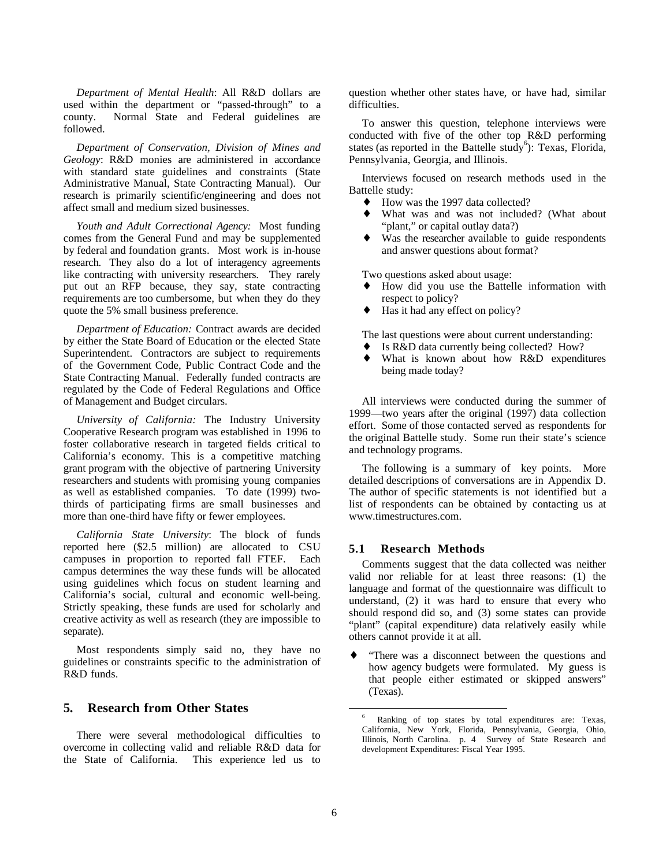*Department of Mental Health*: All R&D dollars are used within the department or "passed-through" to a county. Normal State and Federal guidelines are followed.

*Department of Conservation, Division of Mines and Geology*: R&D monies are administered in accordance with standard state guidelines and constraints (State Administrative Manual, State Contracting Manual). Our research is primarily scientific/engineering and does not affect small and medium sized businesses.

*Youth and Adult Correctional Agency:* Most funding comes from the General Fund and may be supplemented by federal and foundation grants. Most work is in-house research. They also do a lot of interagency agreements like contracting with university researchers. They rarely put out an RFP because, they say, state contracting requirements are too cumbersome, but when they do they quote the 5% small business preference.

*Department of Education:* Contract awards are decided by either the State Board of Education or the elected State Superintendent. Contractors are subject to requirements of the Government Code, Public Contract Code and the State Contracting Manual. Federally funded contracts are regulated by the Code of Federal Regulations and Office of Management and Budget circulars.

*University of California:* The Industry University Cooperative Research program was established in 1996 to foster collaborative research in targeted fields critical to California's economy. This is a competitive matching grant program with the objective of partnering University researchers and students with promising young companies as well as established companies. To date (1999) twothirds of participating firms are small businesses and more than one-third have fifty or fewer employees.

*California State University*: The block of funds reported here (\$2.5 million) are allocated to CSU campuses in proportion to reported fall FTEF. Each campus determines the way these funds will be allocated using guidelines which focus on student learning and California's social, cultural and economic well-being. Strictly speaking, these funds are used for scholarly and creative activity as well as research (they are impossible to separate).

Most respondents simply said no, they have no guidelines or constraints specific to the administration of R&D funds.

## **5. Research from Other States**

There were several methodological difficulties to overcome in collecting valid and reliable R&D data for the State of California. This experience led us to question whether other states have, or have had, similar difficulties.

To answer this question, telephone interviews were conducted with five of the other top R&D performing states (as reported in the Battelle study<sup>6</sup>): Texas, Florida, Pennsylvania, Georgia, and Illinois.

Interviews focused on research methods used in the Battelle study:

- How was the 1997 data collected?
- What was and was not included? (What about "plant," or capital outlay data?)
- Was the researcher available to guide respondents and answer questions about format?

Two questions asked about usage:

- How did you use the Battelle information with respect to policy?
- Has it had any effect on policy?

The last questions were about current understanding:

- Is R&D data currently being collected? How?
- What is known about how R&D expenditures being made today?

All interviews were conducted during the summer of 1999—two years after the original (1997) data collection effort. Some of those contacted served as respondents for the original Battelle study. Some run their state's science and technology programs.

The following is a summary of key points. More detailed descriptions of conversations are in Appendix D. The author of specific statements is not identified but a list of respondents can be obtained by contacting us at www.timestructures.com.

### **5.1 Research Methods**

Comments suggest that the data collected was neither valid nor reliable for at least three reasons: (1) the language and format of the questionnaire was difficult to understand, (2) it was hard to ensure that every who should respond did so, and (3) some states can provide "plant" (capital expenditure) data relatively easily while others cannot provide it at all.

"There was a disconnect between the questions and how agency budgets were formulated. My guess is that people either estimated or skipped answers" (Texas).

<sup>6</sup> Ranking of top states by total expenditures are: Texas, California, New York, Florida, Pennsylvania, Georgia, Ohio, Illinois, North Carolina. p. 4 Survey of State Research and development Expenditures: Fiscal Year 1995.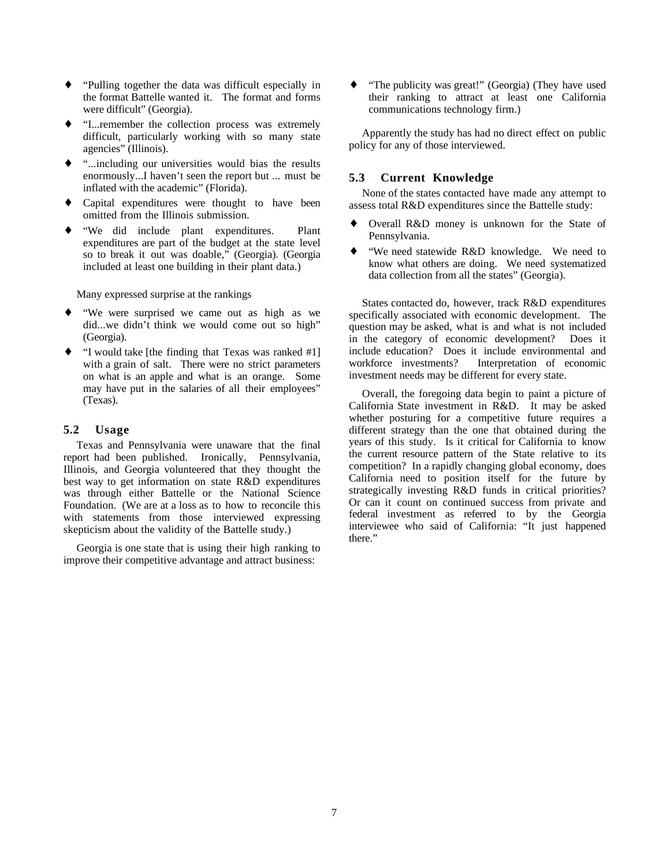- ♦ "Pulling together the data was difficult especially in the format Battelle wanted it. The format and forms were difficult" (Georgia).
- ♦ "I...remember the collection process was extremely difficult, particularly working with so many state agencies" (Illinois).
- ♦ "...including our universities would bias the results enormously...I haven't seen the report but ... must be inflated with the academic" (Florida).
- ♦ Capital expenditures were thought to have been omitted from the Illinois submission.
- "We did include plant expenditures. Plant expenditures are part of the budget at the state level so to break it out was doable," (Georgia). (Georgia included at least one building in their plant data.)

Many expressed surprise at the rankings

- We were surprised we came out as high as we did...we didn't think we would come out so high" (Georgia).
- ♦ "I would take [the finding that Texas was ranked #1] with a grain of salt. There were no strict parameters on what is an apple and what is an orange. Some may have put in the salaries of all their employees" (Texas).

## **5.2 Usage**

Texas and Pennsylvania were unaware that the final report had been published. Ironically, Pennsylvania, Illinois, and Georgia volunteered that they thought the best way to get information on state R&D expenditures was through either Battelle or the National Science Foundation. (We are at a loss as to how to reconcile this with statements from those interviewed expressing skepticism about the validity of the Battelle study.)

Georgia is one state that is using their high ranking to improve their competitive advantage and attract business:

♦ "The publicity was great!" (Georgia) (They have used their ranking to attract at least one California communications technology firm.)

Apparently the study has had no direct effect on public policy for any of those interviewed.

## **5.3 Current Knowledge**

None of the states contacted have made any attempt to assess total R&D expenditures since the Battelle study:

- ♦ Overall R&D money is unknown for the State of Pennsylvania.
- "We need statewide R&D knowledge. We need to know what others are doing. We need systematized data collection from all the states" (Georgia).

States contacted do, however, track R&D expenditures specifically associated with economic development. The question may be asked, what is and what is not included in the category of economic development? Does it include education? Does it include environmental and workforce investments? Interpretation of economic investment needs may be different for every state.

Overall, the foregoing data begin to paint a picture of California State investment in R&D. It may be asked whether posturing for a competitive future requires a different strategy than the one that obtained during the years of this study. Is it critical for California to know the current resource pattern of the State relative to its competition? In a rapidly changing global economy, does California need to position itself for the future by strategically investing R&D funds in critical priorities? Or can it count on continued success from private and federal investment as referred to by the Georgia interviewee who said of California: "It just happened there."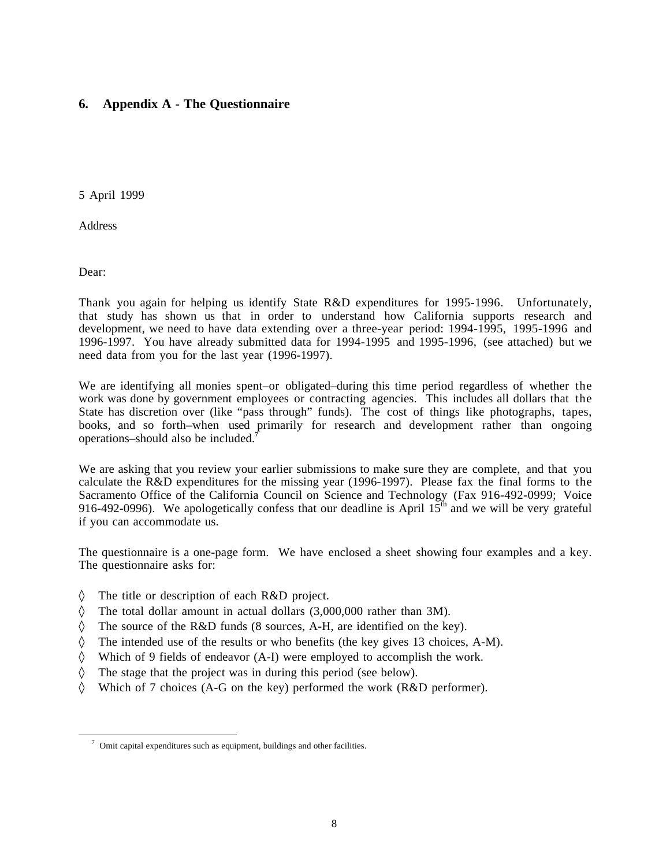## **6. Appendix A - The Questionnaire**

5 April 1999

**Address** 

Dear:

Thank you again for helping us identify State R&D expenditures for 1995-1996. Unfortunately, that study has shown us that in order to understand how California supports research and development, we need to have data extending over a three-year period: 1994-1995, 1995-1996 and 1996-1997. You have already submitted data for 1994-1995 and 1995-1996, (see attached) but we need data from you for the last year (1996-1997).

We are identifying all monies spent–or obligated–during this time period regardless of whether the work was done by government employees or contracting agencies. This includes all dollars that the State has discretion over (like "pass through" funds). The cost of things like photographs, tapes, books, and so forth–when used primarily for research and development rather than ongoing operations–should also be included.**<sup>7</sup>**

We are asking that you review your earlier submissions to make sure they are complete, and that you calculate the R&D expenditures for the missing year (1996-1997). Please fax the final forms to the Sacramento Office of the California Council on Science and Technology (Fax 916-492-0999; Voice 916-492-0996). We apologetically confess that our deadline is April 15<sup>th</sup> and we will be very grateful if you can accommodate us.

The questionnaire is a one-page form. We have enclosed a sheet showing four examples and a key. The questionnaire asks for:

- ◊ The title or description of each R&D project.
- ◊ The total dollar amount in actual dollars (3,000,000 rather than 3M).
- ◊ The source of the R&D funds (8 sources, A-H, are identified on the key).
- $\Diamond$  The intended use of the results or who benefits (the key gives 13 choices, A-M).
- ◊ Which of 9 fields of endeavor (A-I) were employed to accomplish the work.
- ◊ The stage that the project was in during this period (see below).
- ◊ Which of 7 choices (A-G on the key) performed the work (R&D performer).

 $\frac{7}{1}$  Omit capital expenditures such as equipment, buildings and other facilities.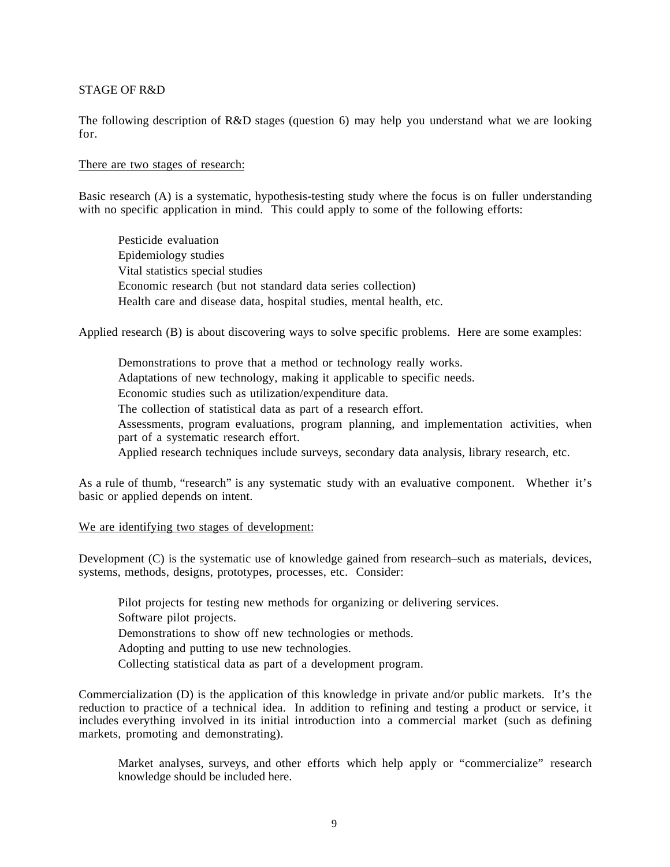## STAGE OF R&D

The following description of R&D stages (question 6) may help you understand what we are looking for.

## There are two stages of research:

Basic research (A) is a systematic, hypothesis-testing study where the focus is on fuller understanding with no specific application in mind. This could apply to some of the following efforts:

Pesticide evaluation Epidemiology studies Vital statistics special studies Economic research (but not standard data series collection) Health care and disease data, hospital studies, mental health, etc.

Applied research (B) is about discovering ways to solve specific problems. Here are some examples:

Demonstrations to prove that a method or technology really works. Adaptations of new technology, making it applicable to specific needs. Economic studies such as utilization/expenditure data. The collection of statistical data as part of a research effort. Assessments, program evaluations, program planning, and implementation activities, when part of a systematic research effort. Applied research techniques include surveys, secondary data analysis, library research, etc.

As a rule of thumb, "research" is any systematic study with an evaluative component. Whether it's basic or applied depends on intent.

## We are identifying two stages of development:

Development (C) is the systematic use of knowledge gained from research–such as materials, devices, systems, methods, designs, prototypes, processes, etc. Consider:

Pilot projects for testing new methods for organizing or delivering services. Software pilot projects. Demonstrations to show off new technologies or methods. Adopting and putting to use new technologies. Collecting statistical data as part of a development program.

Commercialization (D) is the application of this knowledge in private and/or public markets. It's the reduction to practice of a technical idea. In addition to refining and testing a product or service, it includes everything involved in its initial introduction into a commercial market (such as defining markets, promoting and demonstrating).

Market analyses, surveys, and other efforts which help apply or "commercialize" research knowledge should be included here.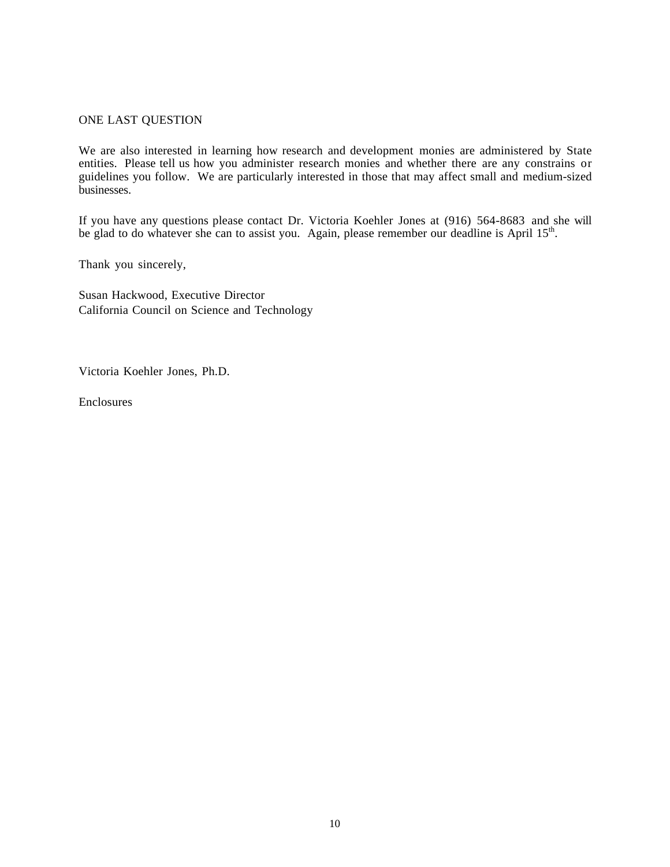## ONE LAST QUESTION

We are also interested in learning how research and development monies are administered by State entities. Please tell us how you administer research monies and whether there are any constrains or guidelines you follow. We are particularly interested in those that may affect small and medium-sized businesses.

If you have any questions please contact Dr. Victoria Koehler Jones at (916) 564-8683 and she will be glad to do whatever she can to assist you. Again, please remember our deadline is April 15<sup>th</sup>.

Thank you sincerely,

Susan Hackwood, Executive Director California Council on Science and Technology

Victoria Koehler Jones, Ph.D.

Enclosures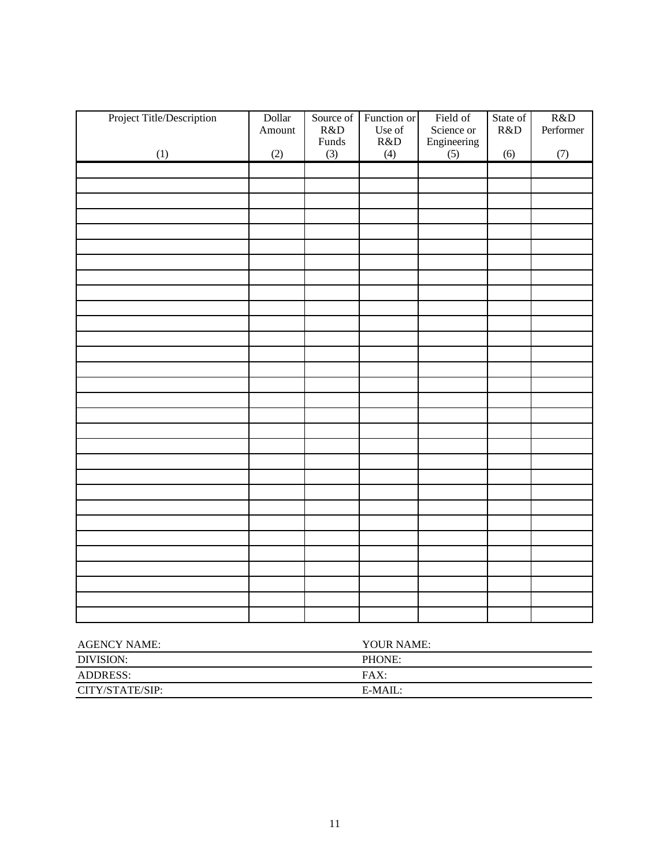| Project Title/Description | Dollar<br>Amount | Source of<br>R&D<br>Funds | Function or<br>Use of<br>R&D | Field of<br>Science or<br>Engineering | State of<br>R&D | R&D<br>Performer |
|---------------------------|------------------|---------------------------|------------------------------|---------------------------------------|-----------------|------------------|
| (1)                       | (2)              | (3)                       | (4)                          | (5)                                   | (6)             | (7)              |
|                           |                  |                           |                              |                                       |                 |                  |
|                           |                  |                           |                              |                                       |                 |                  |
|                           |                  |                           |                              |                                       |                 |                  |
|                           |                  |                           |                              |                                       |                 |                  |
|                           |                  |                           |                              |                                       |                 |                  |
|                           |                  |                           |                              |                                       |                 |                  |
|                           |                  |                           |                              |                                       |                 |                  |
|                           |                  |                           |                              |                                       |                 |                  |
|                           |                  |                           |                              |                                       |                 |                  |
|                           |                  |                           |                              |                                       |                 |                  |
|                           |                  |                           |                              |                                       |                 |                  |
|                           |                  |                           |                              |                                       |                 |                  |
|                           |                  |                           |                              |                                       |                 |                  |
|                           |                  |                           |                              |                                       |                 |                  |
|                           |                  |                           |                              |                                       |                 |                  |
|                           |                  |                           |                              |                                       |                 |                  |
|                           |                  |                           |                              |                                       |                 |                  |
|                           |                  |                           |                              |                                       |                 |                  |
|                           |                  |                           |                              |                                       |                 |                  |
|                           |                  |                           |                              |                                       |                 |                  |
|                           |                  |                           |                              |                                       |                 |                  |
|                           |                  |                           |                              |                                       |                 |                  |
|                           |                  |                           |                              |                                       |                 |                  |
|                           |                  |                           |                              |                                       |                 |                  |
|                           |                  |                           |                              |                                       |                 |                  |
|                           |                  |                           |                              |                                       |                 |                  |
|                           |                  |                           |                              |                                       |                 |                  |
|                           |                  |                           |                              |                                       |                 |                  |
|                           |                  |                           |                              |                                       |                 |                  |

| <b>AGENCY NAME:</b> | YOUR NAME: |
|---------------------|------------|
| DIVISION:           | PHONE:     |
| ADDRESS:            | FAX:       |
| CITY/STATE/SIP:     | $E-MAIL:$  |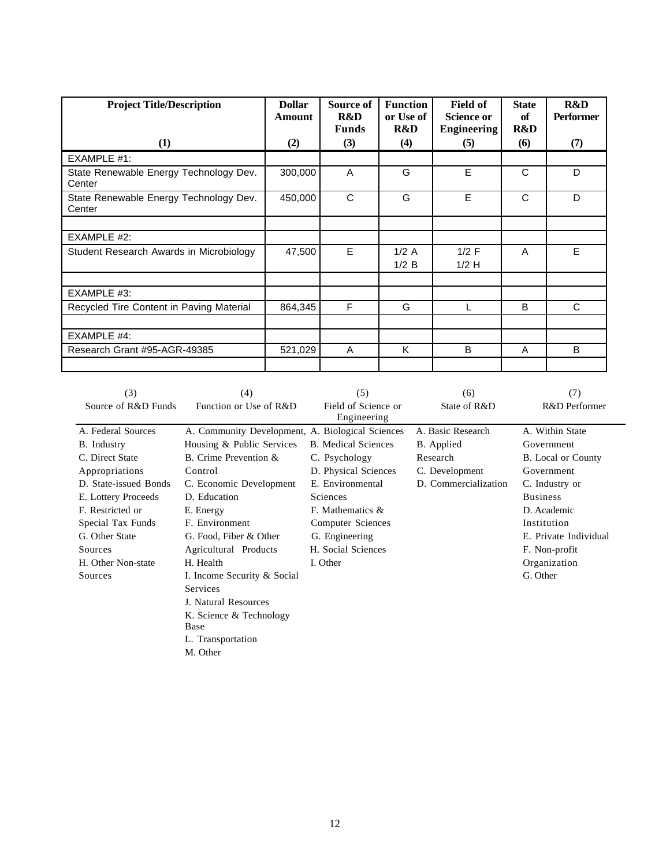| <b>Project Title/Description</b>                 | <b>Dollar</b><br>Amount | Source of<br>R&D<br><b>Funds</b> | <b>Function</b><br>or Use of<br>R&D | Field of<br><b>Science or</b><br><b>Engineering</b> | <b>State</b><br>of<br>R&D      | <b>R&amp;D</b><br><b>Performer</b> |
|--------------------------------------------------|-------------------------|----------------------------------|-------------------------------------|-----------------------------------------------------|--------------------------------|------------------------------------|
| (1)                                              | (2)                     | (3)                              | (4)                                 | (5)                                                 | $\boldsymbol{\left( 6\right)}$ | (7)                                |
| EXAMPLE #1:                                      |                         |                                  |                                     |                                                     |                                |                                    |
| State Renewable Energy Technology Dev.<br>Center | 300,000                 | A                                | G                                   | E                                                   | C                              | D                                  |
| State Renewable Energy Technology Dev.<br>Center | 450,000                 | C                                | G                                   | E                                                   | C                              | D                                  |
|                                                  |                         |                                  |                                     |                                                     |                                |                                    |
| EXAMPLE #2:                                      |                         |                                  |                                     |                                                     |                                |                                    |
| Student Research Awards in Microbiology          | 47,500                  | E                                | 1/2A<br>1/2 B                       | $1/2$ F<br>$1/2$ H                                  | A                              | E                                  |
|                                                  |                         |                                  |                                     |                                                     |                                |                                    |
| EXAMPLE #3:                                      |                         |                                  |                                     |                                                     |                                |                                    |
| Recycled Tire Content in Paving Material         | 864,345                 | F                                | G                                   | L                                                   | B                              | C                                  |
|                                                  |                         |                                  |                                     |                                                     |                                |                                    |
| EXAMPLE #4:                                      |                         |                                  |                                     |                                                     |                                |                                    |
| Research Grant #95-AGR-49385                     | 521,029                 | A                                | K                                   | B                                                   | A                              | B                                  |

| (3)                   | (4)                                              | (5)                                | (6)                  | (7)                       |
|-----------------------|--------------------------------------------------|------------------------------------|----------------------|---------------------------|
| Source of R&D Funds   | Function or Use of R&D                           | Field of Science or<br>Engineering | State of R&D         | R&D Performer             |
| A. Federal Sources    | A. Community Development, A. Biological Sciences |                                    | A. Basic Research    | A. Within State           |
| B. Industry           | Housing & Public Services                        | <b>B.</b> Medical Sciences         | B. Applied           | Government                |
| C. Direct State       | B. Crime Prevention &                            | C. Psychology                      | Research             | <b>B.</b> Local or County |
| Appropriations        | Control                                          | D. Physical Sciences               | C. Development       | Government                |
| D. State-issued Bonds | C. Economic Development                          | E. Environmental                   | D. Commercialization | C. Industry or            |
| E. Lottery Proceeds   | D. Education                                     | Sciences                           |                      | <b>Business</b>           |
| F. Restricted or      | E. Energy                                        | F. Mathematics &                   |                      | D. Academic               |
| Special Tax Funds     | F. Environment                                   | Computer Sciences                  |                      | Institution               |
| G. Other State        | G. Food, Fiber & Other                           | G. Engineering                     |                      | E. Private Individual     |
| Sources               | Agricultural Products                            | H. Social Sciences                 |                      | F. Non-profit             |
| H. Other Non-state    | H. Health                                        | I. Other                           |                      | Organization              |
| Sources               | I. Income Security & Social                      |                                    |                      | G. Other                  |
|                       | Services                                         |                                    |                      |                           |
|                       | J. Natural Resources                             |                                    |                      |                           |
|                       | K. Science & Technology<br>Base                  |                                    |                      |                           |
|                       | L. Transportation                                |                                    |                      |                           |
|                       | M. Other                                         |                                    |                      |                           |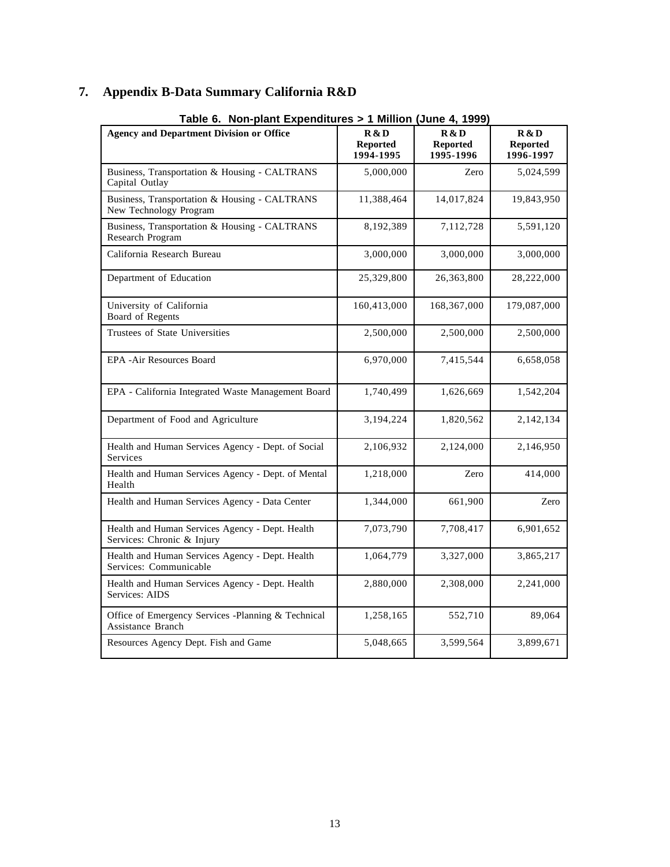## **7. Appendix B-Data Summary California R&D**

| <b>Agency and Department Division or Office</b>                               | R & D<br><b>Reported</b><br>1994-1995 | R & D<br><b>Reported</b><br>1995-1996 | R & D<br><b>Reported</b><br>1996-1997 |
|-------------------------------------------------------------------------------|---------------------------------------|---------------------------------------|---------------------------------------|
| Business, Transportation & Housing - CALTRANS<br>Capital Outlay               | 5,000,000                             | Zero                                  | 5,024,599                             |
| Business, Transportation & Housing - CALTRANS<br>New Technology Program       | 11,388,464                            | 14,017,824                            | 19,843,950                            |
| Business, Transportation & Housing - CALTRANS<br>Research Program             | 8,192,389                             | 7,112,728                             | 5,591,120                             |
| California Research Bureau                                                    | 3,000,000                             | 3,000,000                             | 3,000,000                             |
| Department of Education                                                       | 25,329,800                            | 26,363,800                            | 28,222,000                            |
| University of California<br>Board of Regents                                  | 160,413,000                           | 168,367,000                           | 179,087,000                           |
| Trustees of State Universities                                                | 2,500,000                             | 2,500,000                             | 2,500,000                             |
| EPA -Air Resources Board                                                      | 6,970,000                             | 7,415,544                             | 6,658,058                             |
| EPA - California Integrated Waste Management Board                            | 1,740,499                             | 1,626,669                             | 1,542,204                             |
| Department of Food and Agriculture                                            | 3,194,224                             | 1,820,562                             | 2,142,134                             |
| Health and Human Services Agency - Dept. of Social<br>Services                | 2,106,932                             | 2,124,000                             | 2,146,950                             |
| Health and Human Services Agency - Dept. of Mental<br>Health                  | 1,218,000                             | Zero                                  | 414,000                               |
| Health and Human Services Agency - Data Center                                | 1,344,000                             | 661,900                               | Zero                                  |
| Health and Human Services Agency - Dept. Health<br>Services: Chronic & Injury | 7,073,790                             | 7,708,417                             | 6,901,652                             |
| Health and Human Services Agency - Dept. Health<br>Services: Communicable     | 1,064,779                             | 3,327,000                             | 3,865,217                             |
| Health and Human Services Agency - Dept. Health<br>Services: AIDS             | 2,880,000                             | 2,308,000                             | 2,241,000                             |
| Office of Emergency Services -Planning & Technical<br>Assistance Branch       | 1,258,165                             | 552,710                               | 89,064                                |
| Resources Agency Dept. Fish and Game                                          | 5,048,665                             | 3,599,564                             | 3,899,671                             |

**Table 6. Non-plant Expenditures > 1 Million (June 4, 1999)**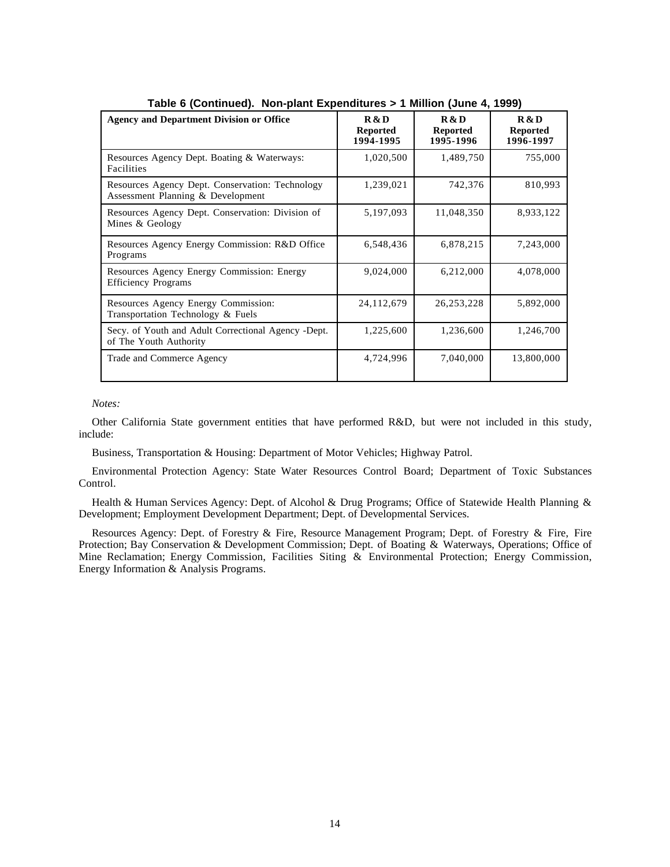| <b>Agency and Department Division or Office</b>                                      | R & D<br><b>Reported</b><br>1994-1995 | R & D<br><b>Reported</b><br>1995-1996 | R & D<br><b>Reported</b><br>1996-1997 |
|--------------------------------------------------------------------------------------|---------------------------------------|---------------------------------------|---------------------------------------|
| Resources Agency Dept. Boating & Waterways:<br>Facilities                            | 1,020,500                             | 1,489,750                             | 755,000                               |
| Resources Agency Dept. Conservation: Technology<br>Assessment Planning & Development | 1,239,021                             | 742,376                               | 810,993                               |
| Resources Agency Dept. Conservation: Division of<br>Mines & Geology                  | 5,197,093                             | 11,048,350                            | 8,933,122                             |
| Resources Agency Energy Commission: R&D Office<br>Programs                           | 6,548,436                             | 6,878,215                             | 7,243,000                             |
| Resources Agency Energy Commission: Energy<br><b>Efficiency Programs</b>             | 9,024,000                             | 6,212,000                             | 4,078,000                             |
| Resources Agency Energy Commission:<br>Transportation Technology & Fuels             | 24,112,679                            | 26, 253, 228                          | 5,892,000                             |
| Secy. of Youth and Adult Correctional Agency -Dept.<br>of The Youth Authority        | 1,225,600                             | 1,236,600                             | 1,246,700                             |
| Trade and Commerce Agency                                                            | 4,724,996                             | 7,040,000                             | 13,800,000                            |

**Table 6 (Continued). Non-plant Expenditures > 1 Million (June 4, 1999)**

*Notes:*

Other California State government entities that have performed R&D, but were not included in this study, include:

Business, Transportation & Housing: Department of Motor Vehicles; Highway Patrol.

Environmental Protection Agency: State Water Resources Control Board; Department of Toxic Substances Control.

Health & Human Services Agency: Dept. of Alcohol & Drug Programs; Office of Statewide Health Planning & Development; Employment Development Department; Dept. of Developmental Services.

Resources Agency: Dept. of Forestry & Fire, Resource Management Program; Dept. of Forestry & Fire, Fire Protection; Bay Conservation & Development Commission; Dept. of Boating & Waterways, Operations; Office of Mine Reclamation; Energy Commission, Facilities Siting & Environmental Protection; Energy Commission, Energy Information & Analysis Programs.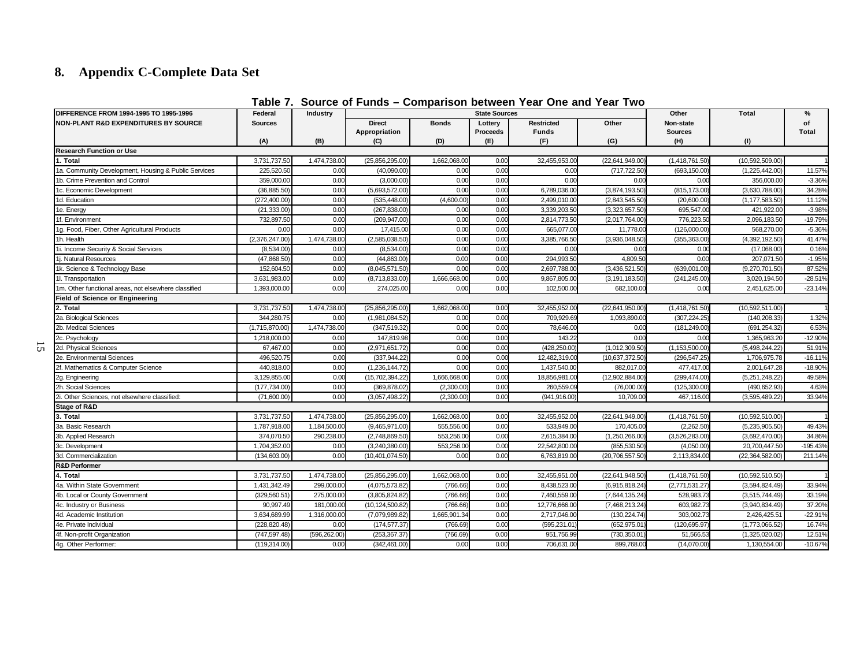## **8. Appendix C-Complete Data Set**

| DIFFERENCE FROM 1994-1995 TO 1995-1996               | Federal        | Industry      |                                |              | <b>State Sources</b> |                                   |                   | Other                       | <b>Total</b>      | $\%$               |
|------------------------------------------------------|----------------|---------------|--------------------------------|--------------|----------------------|-----------------------------------|-------------------|-----------------------------|-------------------|--------------------|
| <b>NON-PLANT R&amp;D EXPENDITURES BY SOURCE</b>      | <b>Sources</b> |               | <b>Direct</b><br>Appropriation | <b>Bonds</b> | Lottery<br>Proceeds  | <b>Restricted</b><br><b>Funds</b> | Other             | Non-state<br><b>Sources</b> |                   | of<br><b>Total</b> |
|                                                      | (A)            | (B)           | (C)                            | (D)          | (E)                  | (F)                               | (G)               | (H)                         | (1)               |                    |
| <b>Research Function or Use</b><br>1. Total          | 3,731,737.50   | 1,474,738.00  | (25,856,295.00)                | 1,662,068.00 | 0.00                 | 32,455,953.00                     | (22, 641, 949.00) | (1,418,761.50)              | (10,592,509.00)   |                    |
| 1a. Community Development, Housing & Public Services | 225.520.50     | 0.00          | (40.090.00)                    | 0.00         | 0.00                 | 0.0(                              | (717,722.50       | (693,150.00                 | (1,225,442.00)    | 11.57%             |
| 1b. Crime Prevention and Control                     | 359,000.00     | 0.00          | (3,000.00)                     | 0.00         | 0.00                 | 0.00                              | 0.00              | 0.00                        | 356,000.00        | $-3.36%$           |
| 1c. Economic Development                             | (36, 885.50)   | 0.00          | (5,693,572.00)                 | 0.00         | 0.00                 | 6,789,036.0                       | (3,874,193.50)    | (815,173.00                 | (3,630,788.00)    | 34.28%             |
| 1d. Education                                        | (272, 400.00)  | 0.00          | (535,448.00                    | (4,600.00)   | 0.00                 | 2,499,010.0                       | (2,843,545.50)    | (20,600.00)                 | (1, 177, 583.50)  | 11.12%             |
| 1e. Energy                                           | (21, 333.00)   | 0.00          | (267,838.00                    | 0.00         | 0.00                 | 3,339,203.5                       | (3,323,657.50)    | 695,547.00                  | 421.922.00        | $-3.98%$           |
| 1f. Environment                                      | 732,897.50     | 0.00          | (209, 947.00)                  | 0.00         | 0.00                 | 2,814,773.5                       | (2,017,764.00)    | 776,223.50                  | 2,096,183.50      | $-19.79%$          |
| 1g. Food, Fiber, Other Agricultural Products         | 0.00           | 0.00          | 17,415.00                      | 0.00         | 0.00                 | 665,077.0                         | 11,778.0          | (126,000.00)                | 568,270.00        | $-5.36%$           |
| 1h. Health                                           | (2,376,247.00) | 1,474,738.00  | (2,585,038.50                  | 0.00         | 0.00                 | 3,385,766.5                       | (3,936,048.50)    | (355,363.00                 | (4,392,192.50     | 41.47%             |
| 1i. Income Security & Social Services                | (8,534.00)     | 0.00          | (8,534.00)                     | 0.00         | 0.00                 | 0.00                              | 0.00              | 0.00                        | (17,068.00)       | 0.16%              |
| 1j. Natural Resources                                | (47,868.50)    | 0.00          | (44,863.00)                    | 0.00         | 0.00                 | 294,993.5                         | 4,809.50          | 0.00                        | 207,071.50        | $-1.95%$           |
| 1k. Science & Technology Base                        | 152,604.50     | 0.00          | (8,045,571.50)                 | 0.00         | 0.00                 | 2,697,788.0                       | (3,436,521.50)    | (639,001.00                 | (9,270,701.50)    | 87.52%             |
| 1I. Transportation                                   | 3,631,983.00   | 0.00          | (8,713,833.00)                 | 1,666,668.00 | 0.00                 | 9,867,805.00                      | (3, 191, 183.50)  | (241, 245.00)               | 3,020,194.50      | $-28.51%$          |
| 1m. Other functional areas, not elsewhere classified | 1.393.000.00   | 0.00          | 274.025.00                     | 0.00         | 0.00                 | 102.500.00                        | 682.100.00        | 0.00                        | 2,451,625.00      | $-23.14%$          |
| <b>Field of Science or Engineering</b>               |                |               |                                |              |                      |                                   |                   |                             |                   |                    |
| 2. Total                                             | 3,731,737.50   | 1,474,738.00  | (25,856,295.00)                | 1,662,068.00 | 0.00                 | 32,455,952.00                     | (22,641,950.00)   | (1,418,761.50)              | (10,592,511.00)   |                    |
| 2a. Biological Sciences                              | 344,280.75     | 0.00          | (1,981,084.52)                 | 0.00         | 0.00                 | 709.929.6                         | 1,093,890.0       | (307, 224.25)               | (140, 208.33)     | 1.32%              |
| 2b. Medical Sciences                                 | (1,715,870.00) | 1,474,738.00  | (347,519.32)                   | 0.00         | 0.00                 | 78,646.00                         | 0.00              | (181,249.00                 | (691,254.32       | 6.53%              |
| 2c. Psychology                                       | 1,218,000.00   | 0.00          | 147,819.98                     | 0.00         | 0.00                 | 143.2                             | 0.00              | 0.00                        | 1,365,963.20      | $-12.90%$          |
| 2d. Physical Sciences                                | 67,467.00      | 0.00          | (2,971,651.72)                 | 0.00         | 0.00                 | (428,250.00                       | (1,012,309.50)    | (1, 153, 500.00)            | (5,498,244.22)    | 51.91%             |
| 2e. Environmental Sciences                           | 496,520.75     | 0.00          | (337,944.22)                   | 0.00         | 0.00                 | 12,482,319.0                      | (10,637,372.50)   | (296,547.25                 | 1,706,975.78      | $-16.11%$          |
| 2f. Mathematics & Computer Science                   | 440,818.00     | 0.00          | (1,236,144.72)                 | 0.00         | 0.00                 | 1,437,540.0                       | 882,017.00        | 477,417.00                  | 2,001,647.28      | $-18.90%$          |
| 2g. Engineering                                      | 3,129,855.00   | 0.00          | (15,702,394.22)                | 1,666,668.00 | 0.00                 | 18,856,981.0                      | (12,902,884.00)   | (299,474.00                 | (5,251,248.22)    | 49.58%             |
| 2h. Social Sciences                                  | (177, 734.00)  | 0.00          | (369,878.02)                   | (2,300.00)   | 0.00                 | 260,559.0                         | (76,000.00)       | (125,300.00)                | (490,652.93       | 4.63%              |
| 2i. Other Sciences, not elsewhere classified:        | (71,600.00)    | 0.00          | (3,057,498.22                  | (2,300.00)   | 0.00                 | (941,916.00                       | 10,709.0          | 467,116.00                  | (3,595,489.22     | 33.94%             |
| Stage of R&D                                         |                |               |                                |              |                      |                                   |                   |                             |                   |                    |
| 3. Total                                             | 3,731,737.50   | 1,474,738.00  | (25,856,295.00)                | 1,662,068.00 | 0.00                 | 32,455,952.00                     | (22,641,949.00)   | (1,418,761.50)              | (10,592,510.00)   |                    |
| 3a. Basic Research                                   | 1,787,918.00   | 1,184,500.00  | (9,465,971.00)                 | 555.556.0    | 0.00                 | 533.949.0                         | 170.405.0         | (2,262.50)                  | (5,235,905.50)    | 49.43%             |
| 3b. Applied Research                                 | 374,070.50     | 290,238.00    | (2,748,869.50)                 | 553.256.00   | 0.00                 | 2,615,384.00                      | (1,250,266.00)    | (3,526,283.00)              | (3,692,470.00)    | 34.86%             |
| 3c. Development                                      | 1,704,352.00   | 0.00          | (3,240,380.00)                 | 553,256.00   | 0.00                 | 22,542,800.00                     | (855, 530.50)     | (4,050.00)                  | 20,700,447.50     | -195.43%           |
| 3d. Commercialization                                | (134,603.00)   | 0.00          | (10, 401, 074.50)              | 0.00         | 0.00                 | 6,763,819.0                       | (20,706,557.50)   | 2,113,834.00                | (22, 364, 582.00) | 211.14%            |
| <b>R&amp;D Performer</b>                             |                |               |                                |              |                      |                                   |                   |                             |                   |                    |
| 4. Total                                             | 3,731,737.50   | 1,474,738.00  | (25,856,295.00)                | 1,662,068.00 | 0.00                 | 32,455,951.00                     | (22, 641, 948.50) | (1,418,761.50)              | (10,592,510.50)   |                    |
| 4a. Within State Government                          | 1,431,342.49   | 299,000.00    | (4,075,573.82)                 | (766.66)     | 0.00                 | 8,438,523.0                       | (6,915,818.24)    | (2,771,531.27               | (3,594,824.49)    | 33.94%             |
| 4b. Local or County Government                       | (329, 560.51)  | 275,000.00    | (3,805,824.82)                 | (766.66)     | 0.00                 | 7,460,559.00                      | (7,644,135.24)    | 528,983.7                   | (3,515,744.49)    | 33.19%             |
| 4c. Industry or Business                             | 90,997.49      | 181,000.00    | (10, 124, 500.82)              | (766.66)     | 0.00                 | 12,776,666.0                      | (7,468,213.24)    | 603,982.7                   | (3,940,834.49)    | 37.20%             |
| 4d. Academic Institution                             | 3,634,689.99   | 1,316,000.00  | (7,079,989.82)                 | 1,665,901.34 | 0.00                 | 2,717,046.0                       | (130, 224.74)     | 303,002.7                   | 2,426,425.5       | $-22.91%$          |
| 4e. Private Individual                               | (228, 820.48)  | 0.00          | (174, 577.37)                  | (766.69      | 0.00                 | (595,231.01                       | (652,975.01       | (120,695.97                 | (1,773,066.52)    | 16.74%             |
| 4f. Non-profit Organization                          | (747, 597.48)  | (596, 262.00) | (253, 367.37)                  | (766.69)     | 0.00                 | 951,756.99                        | (730,350.01       | 51,566.5                    | (1,325,020.02)    | 12.51%             |
| 4g. Other Performer:                                 | (119, 314.00)  | 0.00          | (342, 461.00)                  | 0.00         | 0.00                 | 706,631.00                        | 899,768.00        | (14,070.00)                 | 1,130,554.00      | $-10.67%$          |

## **Table 7. Source of Funds – Comparison between Year One and Year Two**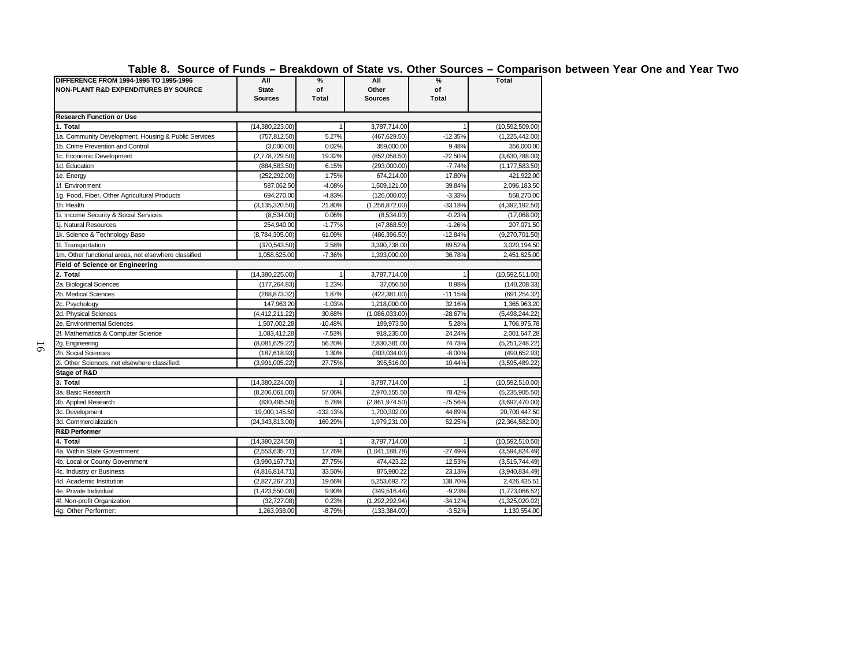**Table 8. Source of Funds – Breakdown of State vs. Other Sources – Comparison between Year One and Year Two**

| .                                                    |                   |              |                |              |                  |
|------------------------------------------------------|-------------------|--------------|----------------|--------------|------------------|
| DIFFERENCE FROM 1994-1995 TO 1995-1996               | All               | %            | All            | %            | Total            |
| NON-PLANT R&D EXPENDITURES BY SOURCE                 | <b>State</b>      | of           | Other          | of           |                  |
|                                                      | <b>Sources</b>    | <b>Total</b> | <b>Sources</b> | <b>Total</b> |                  |
| <b>Research Function or Use</b>                      |                   |              |                |              |                  |
| 1. Total                                             | (14,380,223.00)   |              | 3,787,714.00   |              | (10,592,509.00)  |
| 1a. Community Development, Housing & Public Services | (757.812.50)      | 5.27%        | (467.629.50)   | $-12.35%$    | (1,225,442.00)   |
| 1b. Crime Prevention and Control                     | (3,000.00)        | 0.02%        | 359,000.00     | 9.48%        | 356,000.00       |
| 1c. Economic Development                             | (2,778,729.50)    | 19.32%       | (852,058.50)   | $-22.50%$    | (3,630,788.00)   |
| 1d. Education                                        | (884, 583.50)     | 6.15%        | (293,000.00)   | $-7.74%$     | (1, 177, 583.50) |
| 1e. Energy                                           | (252, 292.00)     | 1.75%        | 674.214.00     | 17.80%       | 421.922.00       |
| 1f. Environment                                      | 587,062.50        | $-4.08%$     | 1,509,121.00   | 39.84%       | 2,096,183.50     |
| 1g. Food, Fiber, Other Agricultural Products         | 694,270.00        | $-4.83%$     | (126,000.00)   | $-3.33%$     | 568,270.00       |
| 1h. Health                                           | (3, 135, 320.50)  | 21.80%       | (1,256,872.00) | $-33.18%$    | (4,392,192.50)   |
| 1i. Income Security & Social Services                | (8,534.00)        | 0.06%        | (8,534.00)     | $-0.23%$     | (17,068.00)      |
| 1i. Natural Resources                                | 254,940.00        | $-1.77%$     | (47,868.50)    | $-1.26%$     | 207,071.50       |
| 1k. Science & Technology Base                        | (8,784,305.00)    | 61.09%       | (486, 396.50)  | $-12.84%$    | (9,270,701.50)   |
| 11. Transportation                                   | (370, 543.50)     | 2.58%        | 3,390,738.00   | 89.52%       | 3,020,194.50     |
| 1m. Other functional areas, not elsewhere classified | 1,058,625.00      | $-7.36%$     | 1,393,000.00   | 36.78%       | 2,451,625.00     |
| Field of Science or Engineering                      |                   |              |                |              |                  |
| 2. Total                                             | (14,380,225.00)   |              | 3,787,714.00   |              | (10,592,511.00)  |
| 2a. Biological Sciences                              | (177, 264.83)     | 1.23%        | 37,056.50      | 0.98%        | (140, 208.33)    |
| 2b. Medical Sciences                                 | (268, 873.32)     | 1.87%        | (422, 381.00)  | $-11.15%$    | (691, 254.32)    |
| 2c. Psychology                                       | 147,963.20        | $-1.03%$     | 1,218,000.00   | 32.16%       | 1,365,963.20     |
| 2d. Physical Sciences                                | (4, 412, 211.22)  | 30.68%       | (1,086,033.00) | $-28.67%$    | (5,498,244.22    |
| 2e. Environmental Sciences                           | 1,507,002.28      | $-10.48%$    | 199,973.50     | 5.28%        | 1,706,975.78     |
| 2f. Mathematics & Computer Science                   | 1,083,412.28      | $-7.53%$     | 918,235.00     | 24.24%       | 2,001,647.28     |
| 2g. Engineering                                      | (8,081,629.22)    | 56.20%       | 2,830,381.00   | 74.73%       | (5,251,248.22)   |
| 2h. Social Sciences                                  | (187, 618.93)     | 1.30%        | (303,034.00)   | $-8.00%$     | (490, 652.93)    |
| 2i. Other Sciences, not elsewhere classified:        | (3,991,005.22)    | 27.75%       | 395,516.00     | 10.44%       | (3,595,489.22)   |
| Stage of R&D                                         |                   |              |                |              |                  |
| 3. Total                                             | (14,380,224.00)   | 1            | 3,787,714.00   |              | (10,592,510.00)  |
| 3a. Basic Research                                   | (8,206,061.00)    | 57.06%       | 2.970.155.50   | 78.42%       | (5,235,905.50)   |
| 3b. Applied Research                                 | (830, 495.50)     | 5.78%        | (2,861,974.50) | -75.56%      | (3,692,470.00)   |
| 3c. Development                                      | 19,000,145.50     | $-132.13%$   | 1,700,302.00   | 44.89%       | 20,700,447.50    |
| 3d. Commercialization                                | (24, 343, 813.00) | 169.29%      | 1,979,231.00   | 52.25%       | (22,364,582.00)  |
| <b>R&amp;D Performer</b>                             |                   |              |                |              |                  |
| 4. Total                                             | (14,380,224.50)   |              | 3,787,714.00   |              | (10,592,510.50)  |
| 4a. Within State Government                          | (2,553,635.71)    | 17.76%       | (1,041,188.78) | $-27.49%$    | (3,594,824.49)   |
| 4b. Local or County Government                       | (3,990,167.71)    | 27.75%       | 474,423.22     | 12.53%       | (3,515,744.49)   |
| 4c. Industry or Business                             | (4,816,814.71)    | 33.50%       | 875,980.22     | 23.13%       | (3,940,834.49)   |
| 4d. Academic Institution                             | (2,827,267.21)    | 19.66%       | 5,253,692.72   | 138.70%      | 2,426,425.51     |
| 4e. Private Individual                               | (1,423,550.08)    | 9.90%        | (349, 516.44)  | $-9.23%$     | (1,773,066.52)   |
| 4f. Non-profit Organization                          | (32, 727.08)      | 0.23%        | (1,292,292.94) | $-34.12%$    | (1,325,020.02)   |
| 4g. Other Performer:                                 | 1,263,938.00      | $-8.79%$     | (133, 384.00)  | $-3.52%$     | 1,130,554.00     |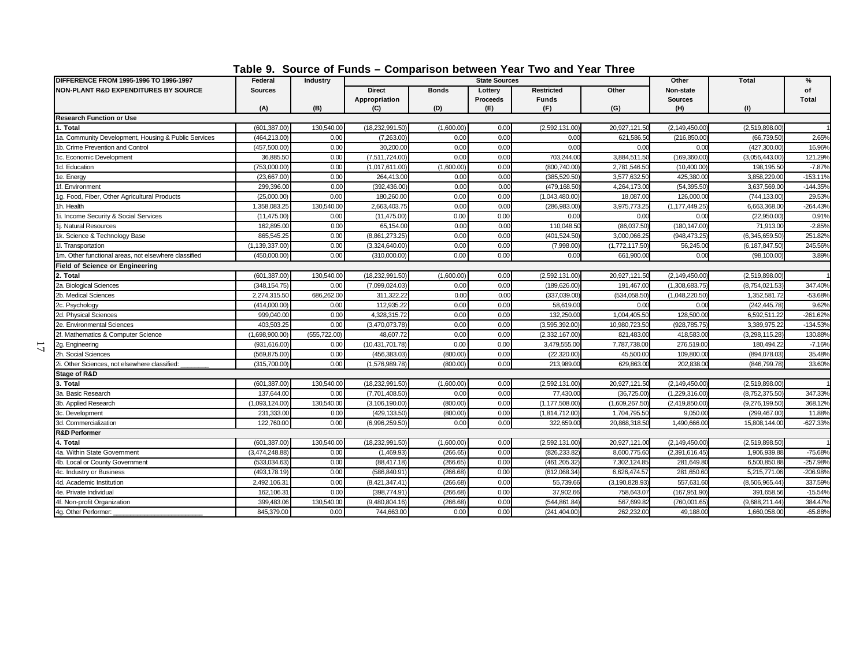| <b>DIFFERENCE FROM 1995-1996 TO 1996-1997</b>        | I UMIV VI<br>Federal | <b>OVAIVE VI LAIRS</b><br>Industry |                   |              | <b>State Sources</b> | <u>UUIIIparioUII NULWUUII TUAT TWU AHU TUAT TINUU</u> |                  | Other            | <b>Total</b>     | %          |
|------------------------------------------------------|----------------------|------------------------------------|-------------------|--------------|----------------------|-------------------------------------------------------|------------------|------------------|------------------|------------|
| <b>NON-PLANT R&amp;D EXPENDITURES BY SOURCE</b>      | <b>Sources</b>       |                                    | <b>Direct</b>     | <b>Bonds</b> | Lottery              | <b>Restricted</b>                                     | Other            | Non-state        |                  | of         |
|                                                      |                      |                                    | Appropriation     |              | <b>Proceeds</b>      | <b>Funds</b>                                          |                  | <b>Sources</b>   |                  | Total      |
|                                                      | (A)                  | (B)                                | (C)               | (D)          | (F)                  | (F)                                                   | (G)              | (H)              | (1)              |            |
| <b>Research Function or Use</b>                      |                      |                                    |                   |              |                      |                                                       |                  |                  |                  |            |
| 1. Total                                             | (601, 387.00)        | 130,540.00                         | (18,232,991.50)   | (1,600.00)   | 0.00                 | (2,592,131.00                                         | 20,927,121.50    | (2, 149, 450.00) | (2,519,898.00)   |            |
| 1a. Community Development, Housing & Public Services | (464, 213.00)        | 0.00                               | (7,263.00)        | 0.00         | 0.00                 | 0.00                                                  | 621,586.5        | (216, 850.00)    | (66, 739.50)     | 2.65%      |
| 1b. Crime Prevention and Control                     | (457,500.00)         | 0.00                               | 30,200.00         | 0.00         | 0.00                 | 0.00                                                  | 0.00             | 0.00             | (427, 300.00)    | 16.96%     |
| 1c. Economic Development                             | 36,885.50            | 0.00                               | (7,511,724.00)    | 0.00         | 0.00                 | 703,244.0                                             | 3,884,511.50     | (169, 360.00)    | (3,056,443.00)   | 121.29%    |
| 1d. Education                                        | (753,000.00)         | 0.00                               | (1,017,611.00)    | (1,600.00)   | 0.00                 | (800,740.00                                           | 2,781,546.50     | (10,400.00)      | 198,195.5        | $-7.87%$   |
| 1e. Energy                                           | (23,667.00)          | 0.00                               | 264,413.00        | 0.00         | 0.00                 | (385, 529.50)                                         | 3,577,632.50     | 425,380.00       | 3,858,229.0      | $-153.119$ |
| 1f. Environment                                      | 299,396.00           | 0.00                               | (392,436.00       | 0.00         | 0.00                 | (479,168.50                                           | 4,264,173.0      | (54, 395.50)     | 3,637,569.0      | $-144.35%$ |
| 1g. Food, Fiber, Other Agricultural Products         | (25,000.00)          | 0.00                               | 180,260.00        | 0.00         | 0.00                 | (1,043,480.00)                                        | 18,087.0         | 126,000.0        | (744, 133.00)    | 29.53%     |
| 1h. Health                                           | 1,358,083.25         | 130,540.00                         | 2,663,403.75      | 0.00         | 0.00                 | (286,983.0                                            | 3,975,773.2      | (1, 177, 449.25) | 6,663,368.0      | $-264.43%$ |
| 1i. Income Security & Social Services                | (11, 475.00)         | 0.00                               | (11, 475.00)      | 0.00         | 0.00                 | 0.00                                                  | 0.00             | 0.00             | (22,950.00)      | 0.91%      |
| 1i. Natural Resources                                | 162,895.00           | 0.00                               | 65,154.00         | 0.00         | 0.00                 | 110,048.5                                             | (86,037.50)      | (180, 147.00)    | 71,913.0         | $-2.85%$   |
| 1k. Science & Technology Base                        | 865,545.25           | 0.00                               | (8,861,273.25)    | 0.00         | 0.00                 | (401, 524.50)                                         | 3,000,066.2      | (948,473.25)     | (6,345,659.50)   | 251.82%    |
| 11. Transportation                                   | (1, 139, 337.00)     | 0.00                               | (3,324,640.00)    | 0.00         | 0.00                 | (7,998.00)                                            | (1,772,117.50)   | 56,245.00        | (6, 187, 847.50) | 245.56%    |
| 1m. Other functional areas, not elsewhere classified | (450,000.00)         | 0.00                               | (310,000.00)      | 0.00         | 0.00                 | 0.00                                                  | 661,900.0        | 0.00             | (98, 100.00)     | 3.89%      |
| <b>Field of Science or Engineering</b>               |                      |                                    |                   |              |                      |                                                       |                  |                  |                  |            |
| 2. Total                                             | (601, 387.00)        | 130,540.00                         | (18, 232, 991.50) | (1,600.00)   | 0.00                 | (2,592,131.00)                                        | 20,927,121.50    | (2, 149, 450.00) | (2,519,898.00)   |            |
| 2a. Biological Sciences                              | (348, 154.75)        | 0.00                               | (7,099,024.03)    | 0.00         | 0.00                 | (189,626.00                                           | 191,467.0        | (1,308,683.75)   | (8,754,021.53)   | 347.40%    |
| 2b. Medical Sciences                                 | 2,274,315.50         | 686,262.00                         | 311,322.22        | 0.00         | 0.00                 | (337,039.00)                                          | (534,058.50)     | (1,048,220.50)   | 1,352,581.7      | $-53.68%$  |
| 2c. Psychology                                       | (414,000.00)         | 0.00                               | 112,935.22        | 0.00         | 0.00                 | 58,619.00                                             | 0.00             | 0.00             | (242,445.78      | 9.62%      |
| 2d. Physical Sciences                                | 999,040.00           | 0.00                               | 4,328,315.72      | 0.00         | 0.00                 | 132,250.0                                             | 1,004,405.5      | 128,500.0        | 6,592,511.2      | $-261.62%$ |
| 2e. Environmental Sciences                           | 403,503.25           | 0.00                               | (3,470,073.78)    | 0.00         | 0.00                 | (3,595,392.00)                                        | 10,980,723.5     | (928,785.75      | 3,389,975.2      | $-134.53%$ |
| 2f. Mathematics & Computer Science                   | (1,698,900.00)       | (555, 722.00)                      | 48,607.72         | 0.00         | 0.00                 | (2,332,167.00)                                        | 821,483.0        | 418,583.0        | (3,298,115.28)   | 130.88%    |
| 2g. Engineering                                      | (931, 616.00)        | 0.00                               | (10, 431, 701.78) | 0.00         | 0.00                 | 3,479,555.00                                          | 7,787,738.0      | 276,519.00       | 180,494.2        | $-7.16%$   |
| 2h. Social Sciences                                  | (569, 875.00)        | 0.00                               | (456,383.03)      | (800.00)     | 0.00                 | (22, 320.00)                                          | 45,500.0         | 109,800.0        | (894,078.03      | 35.48%     |
| 2i. Other Sciences, not elsewhere classified:        | (315,700.00)         | 0.00                               | (1,576,989.78)    | (800.00)     | 0.00                 | 213,989.0                                             | 629,863.0        | 202,838.00       | (846,799.78      | 33.60%     |
| Stage of R&D                                         |                      |                                    |                   |              |                      |                                                       |                  |                  |                  |            |
| 3. Total                                             | (601, 387.00)        | 130,540.00                         | (18,232,991.50)   | (1,600.00)   | 0.00                 | (2,592,131.00                                         | 20,927,121.50    | (2, 149, 450.00) | (2,519,898.00)   |            |
| 3a. Basic Research                                   | 137,644.00           | 0.00                               | (7,701,408.50)    | 0.00         | 0.00                 | 77,430.0                                              | (36, 725.00)     | (1,229,316.00)   | (8,752,375.50)   | 347.33%    |
| 3b. Applied Research                                 | (1,093,124.00)       | 130,540.00                         | (3, 106, 190.00)  | (800.00)     | 0.00                 | (1, 177, 508.00                                       | (1,609,267.50)   | (2,419,850.00)   | (9,276,199.50)   | 368.12%    |
| 3c. Development                                      | 231,333.00           | 0.00                               | (429,133.50)      | (800.00)     | 0.00                 | (1,814,712.00                                         | 1,704,795.50     | 9,050.00         | (299,467.00      | 11.88%     |
| 3d. Commercialization                                | 122,760.00           | 0.00                               | (6,996,259.50)    | 0.00         | 0.00                 | 322,659.0                                             | 20,868,318.5     | 1,490,666.00     | 15,808,144.00    | $-627.339$ |
| <b>R&amp;D Performer</b>                             |                      |                                    |                   |              |                      |                                                       |                  |                  |                  |            |
| 4. Total                                             | (601, 387.00)        | 130,540.00                         | (18, 232, 991.50) | (1,600.00)   | 0.00                 | (2,592,131.00                                         | 20,927,121.00    | (2, 149, 450.00) | (2,519,898.50)   |            |
| 4a. Within State Government                          | (3,474,248.88)       | 0.00                               | (1,469.93)        | (266.65)     | 0.00                 | (826,233.8)                                           | 8,600,775.6      | (2,391,616.45)   | 1,906,939.8      | $-75.68%$  |
| 4b. Local or County Government                       | (533,034.63)         | 0.00                               | (88, 417.18)      | (266.65)     | 0.00                 | (461,205.32                                           | 7,302,124.85     | 281,649.80       | 6,500,850.8      | $-257.98%$ |
| 4c. Industry or Business                             | (493, 178.19)        | 0.00                               | (586, 840.91)     | (266.68)     | 0.00                 | (612,068.34                                           | 6,626,474.57     | 281,650.60       | 5,215,771.06     | $-206.98%$ |
| 4d. Academic Institution                             | 2,492,106.31         | 0.00                               | (8,421,347.41)    | (266.68)     | 0.00                 | 55,739.66                                             | (3, 190, 828.93) | 557,631.60       | (8,506,965.44    | 337.59%    |
| 4e. Private Individual                               | 162,106.31           | 0.00                               | (398,774.91)      | (266.68)     | 0.00                 | 37,902.66                                             | 758,643.0        | (167,951.90)     | 391,658.5        | $-15.549$  |
| 4f. Non-profit Organization                          | 399,483.06           | 130,540.00                         | (9,480,804.16)    | (266.68)     | 0.00                 | (544,861.84                                           | 567,699.82       | (760,001.65)     | (9,688,211.44)   | 384.47%    |
| 4g. Other Performer:                                 | 845,379.00           | 0.00                               | 744.663.00        | 0.00         | 0.00                 | (241,404.00)                                          | 262.232.00       | 49.188.00        | 1.660.058.00     | $-65.88%$  |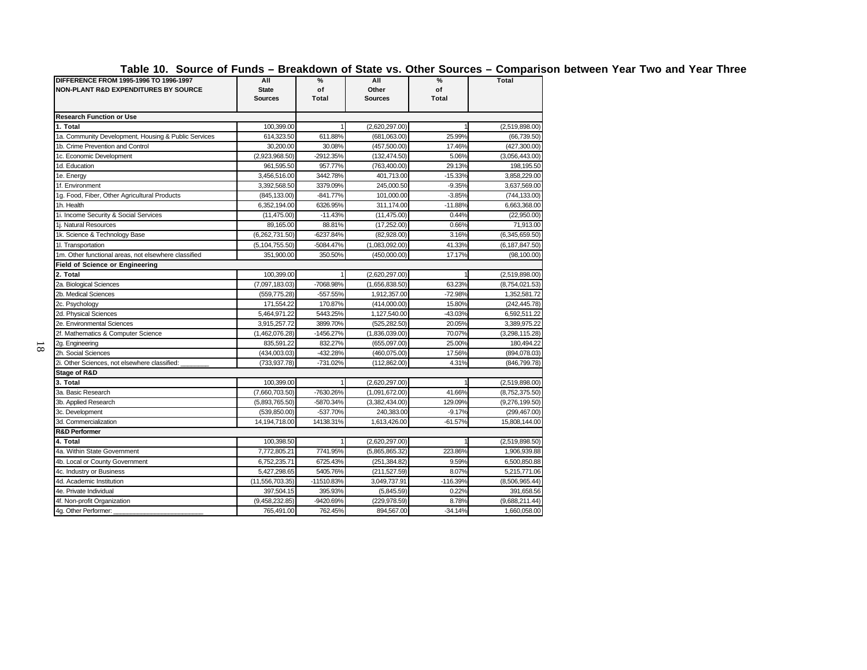**Table 10. Source of Funds – Breakdown of State vs. Other Sources – Comparison between Year Two and Year Three**

| IUNIU IVI                                                                                 |                                       | vı               |                                | uı vua                  | ,onipan          |
|-------------------------------------------------------------------------------------------|---------------------------------------|------------------|--------------------------------|-------------------------|------------------|
| DIFFERENCE FROM 1995-1996 TO 1996-1997<br><b>NON-PLANT R&amp;D EXPENDITURES BY SOURCE</b> | All<br><b>State</b><br><b>Sources</b> | %<br>of<br>Total | All<br>Other<br><b>Sources</b> | %<br>of<br><b>Total</b> | <b>Total</b>     |
| <b>Research Function or Use</b>                                                           |                                       |                  |                                |                         |                  |
| 1. Total                                                                                  | 100,399.00                            | $\mathbf{1}$     | (2,620,297.00)                 |                         | (2,519,898.00)   |
| 1a. Community Development, Housing & Public Services                                      | 614,323.50                            | 611.88%          | (681,063.00)                   | 25.99%                  | (66, 739.50)     |
| 1b. Crime Prevention and Control                                                          | 30,200.00                             | 30.08%           | (457, 500.00)                  | 17.46%                  | (427, 300.00)    |
| 1c. Economic Development                                                                  | (2,923,968.50)                        | -2912.35%        | (132, 474.50)                  | 5.06%                   | (3,056,443.00)   |
| 1d. Education                                                                             | 961,595.50                            | 957.77%          | (763, 400.00)                  | 29.13%                  | 198,195.50       |
| 1e. Energy                                                                                | 3,456,516.00                          | 3442.78%         | 401,713.00                     | $-15.33%$               | 3,858,229.00     |
| 1f. Environment                                                                           | 3,392,568.50                          | 3379.09%         | 245,000.50                     | $-9.35%$                | 3,637,569.00     |
| 1g. Food, Fiber, Other Agricultural Products                                              | (845, 133.00)                         | $-841.77%$       | 101.000.00                     | $-3.85%$                | (744, 133.00)    |
| 1h. Health                                                                                | 6,352,194.00                          | 6326.95%         | 311,174.00                     | $-11.88%$               | 6,663,368.00     |
| 1i. Income Security & Social Services                                                     | (11, 475.00)                          | $-11.43%$        | (11, 475.00)                   | 0.44%                   | (22,950.00)      |
| 1i. Natural Resources                                                                     | 89.165.00                             | 88.81%           | (17, 252.00)                   | 0.66%                   | 71,913.00        |
| 1k. Science & Technology Base                                                             | (6,262,731.50)                        | -6237.84%        | (82,928.00)                    | 3.16%                   | (6,345,659.50)   |
| 11. Transportation                                                                        | (5, 104, 755.50)                      | -5084.47%        | (1,083,092.00)                 | 41.33%                  | (6, 187, 847.50) |
| 1m. Other functional areas, not elsewhere classified                                      | 351,900.00                            | 350.50%          | (450,000.00)                   | 17.17%                  | (98, 100.00)     |
| Field of Science or Engineering                                                           |                                       |                  |                                |                         |                  |
| 2. Total                                                                                  | 100,399.00                            |                  | (2,620,297.00)                 |                         | (2,519,898.00)   |
| 2a. Biological Sciences                                                                   | (7,097,183.03)                        | -7068.98%        | (1,656,838.50)                 | 63.23%                  | (8,754,021.53)   |
| 2b. Medical Sciences                                                                      | (559, 775.28)                         | -557.55%         | 1,912,357.00                   | -72.98%                 | 1,352,581.72     |
| 2c. Psychology                                                                            | 171,554.22                            | 170.87%          | (414,000.00)                   | 15.80%                  | (242, 445.78)    |
| 2d. Physical Sciences                                                                     | 5,464,971.22                          | 5443.25%         | 1,127,540.00                   | -43.03%                 | 6,592,511.22     |
| 2e. Environmental Sciences                                                                | 3,915,257.72                          | 3899.70%         | (525, 282.50)                  | 20.05%                  | 3,389,975.22     |
| 2f. Mathematics & Computer Science                                                        | (1,462,076.28)                        | -1456.27%        | (1,836,039.00)                 | 70.07%                  | (3,298,115.28)   |
| 2g. Engineering                                                                           | 835,591.22                            | 832.27%          | (655,097.00)                   | 25.00%                  | 180,494.22       |
| 2h. Social Sciences                                                                       | (434,003.03)                          | $-432.28%$       | (460, 075.00)                  | 17.56%                  | (894,078.03)     |
| 2i. Other Sciences, not elsewhere classified:                                             | (733,937.78)                          | -731.02%         | (112, 862.00)                  | 4.31%                   | (846, 799.78)    |
| <b>Stage of R&amp;D</b>                                                                   |                                       |                  |                                |                         |                  |
| 3. Total                                                                                  | 100,399.00                            | $\mathbf{1}$     | (2,620,297.00)                 |                         | (2,519,898.00)   |
| 3a. Basic Research                                                                        | (7,660,703.50)                        | -7630.26%        | (1,091,672.00)                 | 41.66%                  | (8,752,375.50)   |
| 3b. Applied Research                                                                      | (5,893,765.50)                        | -5870.34%        | (3,382,434.00)                 | 129.09%                 | (9,276,199.50)   |
| 3c. Development                                                                           | (539, 850.00)                         | -537.70%         | 240,383.00                     | $-9.17%$                | (299, 467.00)    |
| 3d. Commercialization                                                                     | 14,194,718.00                         | 14138.31%        | 1,613,426.00                   | $-61.57%$               | 15,808,144.00    |
| <b>R&amp;D Performer</b>                                                                  |                                       |                  |                                |                         |                  |
| 4. Total                                                                                  | 100,398.50                            |                  | (2,620,297.00)                 |                         | (2,519,898.50)   |
| 4a. Within State Government                                                               | 7,772,805.21                          | 7741.95%         | (5,865,865.32)                 | 223.86%                 | 1,906,939.88     |
| 4b. Local or County Government                                                            | 6,752,235.71                          | 6725.43%         | (251, 384.82)                  | 9.59%                   | 6,500,850.88     |
| 4c. Industry or Business                                                                  | 5,427,298.65                          | 5405.76%         | (211, 527.59)                  | 8.07%                   | 5,215,771.06     |
| 4d. Academic Institution                                                                  | (11, 556, 703.35)                     | -11510.83%       | 3,049,737.91                   | -116.39%                | (8,506,965.44)   |
| 4e. Private Individual                                                                    | 397,504.15                            | 395.93%          | (5,845.59)                     | 0.22%                   | 391,658.56       |
| 4f. Non-profit Organization                                                               | (9,458,232.85)                        | -9420.69%        | (229, 978.59)                  | 8.78%                   | (9,688,211.44)   |
| 4g. Other Performer:                                                                      | 765.491.00                            | 762.45%          | 894.567.00                     | $-34.14%$               | 1,660,058.00     |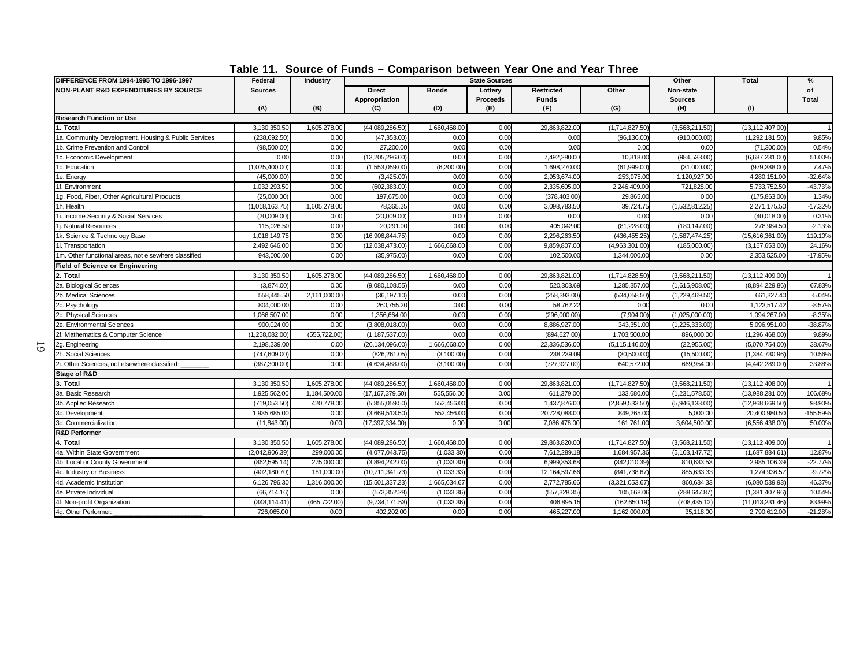| DIFFERENCE FROM 1994-1995 TO 1996-1997               | Federal        | Industry      |                                |              | <b>State Sources</b>       |                                   |                  | Other                       | <b>Total</b>      | $\%$               |
|------------------------------------------------------|----------------|---------------|--------------------------------|--------------|----------------------------|-----------------------------------|------------------|-----------------------------|-------------------|--------------------|
| <b>NON-PLANT R&amp;D EXPENDITURES BY SOURCE</b>      | <b>Sources</b> |               | <b>Direct</b><br>Appropriation | <b>Bonds</b> | Lottery<br><b>Proceeds</b> | <b>Restricted</b><br><b>Funds</b> | Other            | Non-state<br><b>Sources</b> |                   | of<br><b>Total</b> |
|                                                      | (A)            | (B)           | (C)                            | (D)          | (E)                        | (F)                               | (G)              | (H)                         | (1)               |                    |
| <b>Research Function or Use</b>                      |                |               |                                |              |                            |                                   |                  |                             |                   |                    |
| 1. Total                                             | 3,130,350.50   | 1,605,278.00  | (44,089,286.50)                | 1,660,468.00 | 0.00                       | 29,863,822.00                     | (1,714,827.50)   | (3,568,211.50)              | (13, 112, 407.00) |                    |
| 1a. Community Development, Housing & Public Services | (238,692.50)   | 0.00          | (47, 353.00)                   | 0.00         | 0.00                       | 0.00                              | (96, 136.00)     | (910,000.00                 | (1,292,181.50)    | 9.85%              |
| 1b. Crime Prevention and Control                     | (98, 500.00)   | 0.00          | 27,200.00                      | 0.00         | 0.00                       | 0.00                              | 0.00             | 0.00                        | (71,300.00)       | 0.54%              |
| 1c. Economic Development                             | 0.00           | 0.00          | (13,205,296.00)                | 0.00         | 0.00                       | 7,492,280.00                      | 10,318.00        | (984,533.00                 | (6,687,231.00)    | 51.00%             |
| 1d. Education                                        | (1,025,400.00) | 0.00          | (1,553,059.00)                 | (6,200.00)   | 0.00                       | 1,698,270.0                       | (61,999.00)      | (31,000.00)                 | (979,388.00       | 7.47%              |
| 1e. Energy                                           | (45,000.00)    | 0.00          | (3,425.00)                     | 0.00         | 0.00                       | 2,953,674.0                       | 253,975.0        | 1,120,927.0                 | 4,280,151.00      | $-32.64%$          |
| 1f. Environment                                      | 1,032,293.50   | 0.00          | (602, 383.00)                  | 0.00         | 0.00                       | 2,335,605.00                      | 2,246,409.00     | 721,828.00                  | 5,733,752.50      | $-43.73%$          |
| 1g. Food, Fiber, Other Agricultural Products         | (25,000.00)    | 0.00          | 197,675.00                     | 0.00         | 0.00                       | (378, 403.00)                     | 29,865.00        | 0.00                        | (175, 863.00)     | 1.34%              |
| 1h. Health                                           | (1,018,163.75) | 1,605,278.00  | 78,365.25                      | 0.00         | 0.00                       | 3,098,783.5                       | 39,724.75        | (1,532,812.25)              | 2,271,175.50      | $-17.32%$          |
| 1i. Income Security & Social Services                | (20,009.00)    | 0.00          | (20,009.00)                    | 0.00         | 0.00                       | 0.00                              | 0.00             | 0.00                        | (40,018.00)       | 0.31%              |
| 1j. Natural Resources                                | 115,026.50     | 0.00          | 20,291.00                      | 0.00         | 0.00                       | 405,042.0                         | (81,228.00)      | (180, 147.00                | 278,984.50        | $-2.13%$           |
| 1k. Science & Technology Base                        | 1,018,149.75   | 0.00          | (16,906,844.75)                | 0.00         | 0.00                       | 2,296,263.5                       | (436,455.25)     | (1,587,474.25)              | (15,616,361.00    | 119.10%            |
| 11. Transportation                                   | 2,492,646.00   | 0.00          | (12,038,473.00)                | 1,666,668.00 | 0.00                       | 9,859,807.0                       | (4,963,301.00)   | (185,000.00                 | (3, 167, 653.00)  | 24.16%             |
| 1m. Other functional areas, not elsewhere classified | 943,000.00     | 0.00          | (35,975.00)                    | 0.00         | 0.00                       | 102,500.00                        | 1,344,000.00     | 0.00                        | 2,353,525.00      | $-17.95%$          |
| <b>Field of Science or Engineering</b>               |                |               |                                |              |                            |                                   |                  |                             |                   |                    |
| 2. Total                                             | 3,130,350.50   | 1,605,278.00  | (44,089,286.50)                | 1,660,468.00 | 0.00                       | 29,863,821.00                     | (1,714,828.50)   | (3,568,211.50)              | (13, 112, 409.00) |                    |
| 2a. Biological Sciences                              | (3,874.00)     | 0.00          | (9,080,108.55)                 | 0.00         | 0.00                       | 520.303.69                        | 1,285,357.00     | (1,615,908.00)              | (8,894,229.86)    | 67.83%             |
| 2b. Medical Sciences                                 | 558,445.50     | 2,161,000.00  | (36, 197.10)                   | 0.00         | 0.00                       | (258,393.00                       | (534,058.50)     | (1,229,469.50)              | 661,327.40        | $-5.04%$           |
| 2c. Psychology                                       | 804,000.00     | 0.00          | 260,755.20                     | 0.00         | 0.00                       | 58,762.2                          | 0.00             | 0.00                        | 1,123,517.42      | $-8.57%$           |
| 2d. Physical Sciences                                | 1,066,507.00   | 0.00          | 1,356,664.00                   | 0.00         | 0.00                       | (296,000.00                       | (7,904.00)       | (1,025,000.00)              | 1,094,267.00      | $-8.35%$           |
| 2e. Environmental Sciences                           | 900.024.00     | 0.00          | (3,808,018.00)                 | 0.00         | 0.00                       | 8,886,927.0                       | 343,351.00       | (1,225,333.00)              | 5,096,951.00      | $-38.87%$          |
| 2f. Mathematics & Computer Science                   | (1,258,082.00  | (555, 722.00) | (1, 187, 537.00)               | 0.00         | 0.00                       | (894,627.00                       | 1,703,500.00     | 896,000.0                   | (1, 296, 468.00)  | 9.89%              |
| 2g. Engineering                                      | 2.198.239.00   | 0.00          | (26, 134, 096.00)              | 1,666,668.00 | 0.00                       | 22.336.536.00                     | (5, 115, 146.00) | (22,955.00)                 | (5,070,754.00)    | 38.67%             |
| 2h. Social Sciences                                  | (747, 609.00)  | 0.00          | (826, 261.05)                  | (3, 100.00)  | 0.00                       | 238,239.0                         | (30,500.00)      | (15,500.00)                 | (1,384,730.96)    | 10.56%             |
| 2i. Other Sciences, not elsewhere classified:        | (387,300.00    | 0.00          | (4.634.488.00)                 | (3, 100.00)  | 0.00                       | (727, 927.00)                     | 640.572.0        | 669,954.00                  | (4,442,289.00     | 33.88%             |
| Stage of R&D                                         |                |               |                                |              |                            |                                   |                  |                             |                   |                    |
| 3. Total                                             | 3,130,350.50   | 1,605,278.00  | (44,089,286.50)                | 1,660,468.00 | 0.00                       | 29,863,821.00                     | (1,714,827.50)   | (3,568,211.50)              | (13, 112, 408.00) |                    |
| 3a. Basic Research                                   | 1,925,562.00   | 1,184,500.00  | (17, 167, 379.50)              | 555,556.00   | 0.00                       | 611,379.00                        | 133,680.00       | (1,231,578.50)              | (13,988,281.00)   | 106.68%            |
| 3b. Applied Research                                 | (719, 053.50)  | 420,778.00    | (5,855,059.50)                 | 552,456.00   | 0.00                       | 1,437,876.0                       | (2,859,533.50)   | (5,946,133.00)              | (12,968,669.50)   | 98.90%             |
| 3c. Development                                      | 1,935,685.00   | 0.00          | (3,669,513.50)                 | 552,456.00   | 0.00                       | 20,728,088.0                      | 849,265.00       | 5,000.00                    | 20,400,980.50     | -155.59%           |
| 3d. Commercialization                                | (11, 843.00)   | 0.00          | (17, 397, 334.00)              | 0.00         | 0.00                       | 7.086.478.0                       | 161.761.00       | 3,604,500.00                | (6,556,438.00)    | 50.00%             |
| <b>R&amp;D Performer</b>                             |                |               |                                |              |                            |                                   |                  |                             |                   |                    |
| 4. Total                                             | 3,130,350.50   | 1,605,278.00  | (44,089,286.50)                | 1,660,468.00 | 0.00                       | 29,863,820.00                     | (1,714,827.50)   | (3,568,211.50)              | (13, 112, 409.00) |                    |
| 4a. Within State Government                          | (2,042,906.39) | 299,000.00    | (4,077,043.75)                 | (1,033.30)   | 0.00                       | 7,612,289.18                      | 1,684,957.36     | (5, 163, 147.72)            | (1,687,884.61)    | 12.87%             |
| 4b. Local or County Government                       | (862, 595.14)  | 275,000.00    | (3,894,242.00)                 | (1,033.30)   | 0.00                       | 6,999,353.68                      | (342,010.39)     | 810,633.53                  | 2,985,106.39      | $-22.77%$          |
| 4c. Industry or Business                             | (402,180.70)   | 181,000.00    | (10, 711, 341.73)              | (1,033.33)   | 0.00                       | 12,164,597.66                     | (841,738.67)     | 885,633.33                  | 1,274,936.57      | $-9.72%$           |
| 4d. Academic Institution                             | 6,126,796.30   | 1,316,000.00  | (15,501,337.23)                | 1,665,634.67 | 0.00                       | 2,772,785.66                      | (3,321,053.67)   | 860,634.3                   | (6,080,539.93)    | 46.37%             |
| 4e. Private Individual                               | (66,714.16)    | 0.00          | (573, 352.28)                  | (1,033.36)   | 0.00                       | (557,328.35                       | 105,668.06       | (288,647.87                 | (1,381,407.96)    | 10.54%             |
| 4f. Non-profit Organization                          | (348,114.41)   | (465,722.00)  | (9,734,171.53)                 | (1,033.36)   | 0.00                       | 406,895.1                         | (162, 650.19)    | (708,435.12                 | (11,013,231.46)   | 83.99%             |
| 4g. Other Performer:                                 | 726,065.00     | 0.00          | 402,202.00                     | 0.00         | 0.00                       | 465,227.0                         | 1,162,000.00     | 35,118.00                   | 2,790,612.00      | $-21.28%$          |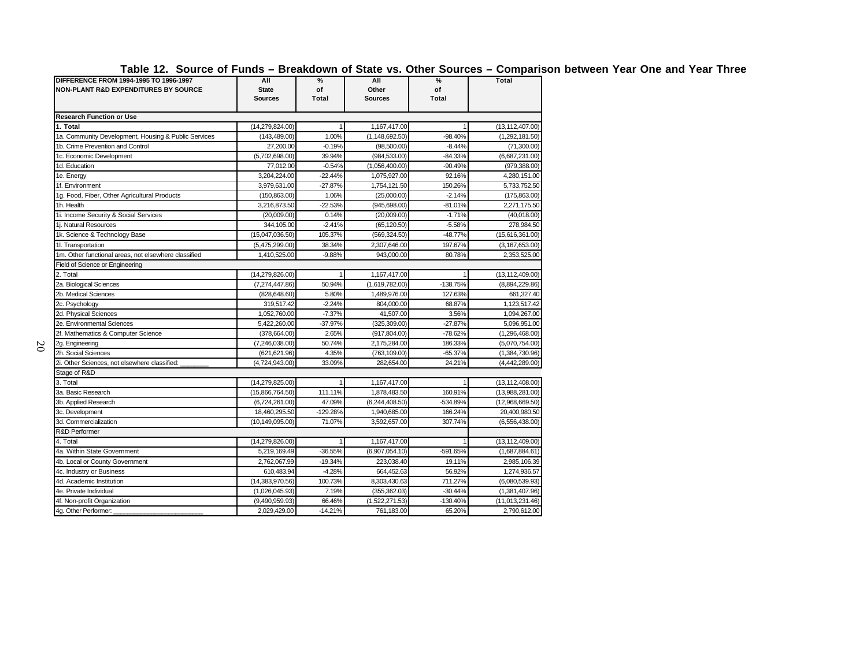| DIFFERENCE FROM 1994-1995 TO 1996-1997<br><b>NON-PLANT R&amp;D EXPENDITURES BY SOURCE</b> | All<br><b>State</b><br><b>Sources</b> | $\%$<br>of<br>Total | All<br>Other<br><b>Sources</b> | $\%$<br>of<br>Total | <b>Total</b>      |
|-------------------------------------------------------------------------------------------|---------------------------------------|---------------------|--------------------------------|---------------------|-------------------|
| <b>Research Function or Use</b>                                                           |                                       |                     |                                |                     |                   |
| 1. Total                                                                                  | (14, 279, 824.00)                     |                     | 1,167,417.00                   |                     | (13, 112, 407.00) |
| 1a. Community Development, Housing & Public Services                                      | (143, 489.00)                         | 1.00%               | (1, 148, 692.50)               | $-98.40%$           | (1,292,181.50)    |
| 1b. Crime Prevention and Control                                                          | 27,200.00                             | $-0.19%$            | (98,500.00)                    | $-8.44%$            | (71,300.00)       |
| 1c. Economic Development                                                                  | (5,702,698.00)                        | 39.94%              | (984, 533.00)                  | $-84.33%$           | (6,687,231.00)    |
| 1d. Education                                                                             | 77,012.00                             | $-0.54%$            | (1,056,400.00)                 | $-90.49%$           | (979, 388.00)     |
| 1e. Energy                                                                                | 3,204,224.00                          | $-22.44%$           | 1,075,927.00                   | 92.16%              | 4,280,151.00      |
| 1f. Environment                                                                           | 3,979,631.00                          | $-27.87%$           | 1,754,121.50                   | 150.26%             | 5,733,752.50      |
| 1g. Food, Fiber, Other Agricultural Products                                              | (150, 863.00)                         | 1.06%               | (25,000.00)                    | $-2.14%$            | (175,863.00)      |
| 1h. Health                                                                                | 3,216,873.50                          | $-22.53%$           | (945, 698.00)                  | $-81.01%$           | 2,271,175.50      |
| 1i. Income Security & Social Services                                                     | (20,009.00)                           | 0.14%               | (20,009.00)                    | $-1.71%$            | (40,018.00)       |
| 1i. Natural Resources                                                                     | 344,105.00                            | $-2.41%$            | (65, 120.50)                   | $-5.58%$            | 278,984.50        |
| 1k. Science & Technology Base                                                             | (15,047,036.50)                       | 105.37%             | (569, 324.50)                  | $-48.77%$           | (15,616,361.00)   |
| 11. Transportation                                                                        | (5,475,299.00)                        | 38.34%              | 2,307,646.00                   | 197.67%             | (3, 167, 653.00)  |
| 1m. Other functional areas, not elsewhere classified                                      | 1,410,525.00                          | $-9.88%$            | 943,000.00                     | 80.78%              | 2,353,525.00      |
| Field of Science or Engineering                                                           |                                       |                     |                                |                     |                   |
| 2. Total                                                                                  | (14, 279, 826.00)                     |                     | 1,167,417.00                   |                     | (13, 112, 409.00) |
| 2a. Biological Sciences                                                                   | (7,274,447.86)                        | 50.94%              | (1,619,782.00)                 | -138.75%            | (8,894,229.86)    |
| 2b. Medical Sciences                                                                      | (828, 648.60)                         | 5.80%               | 1,489,976.00                   | 127.63%             | 661,327.40        |
| 2c. Psychology                                                                            | 319,517.42                            | $-2.24%$            | 804,000.00                     | 68.87%              | 1,123,517.42      |
| 2d. Physical Sciences                                                                     | 1,052,760.00                          | $-7.37%$            | 41,507.00                      | 3.56%               | 1,094,267.00      |
| 2e. Environmental Sciences                                                                | 5,422,260.00                          | $-37.97%$           | (325, 309.00)                  | $-27.87%$           | 5,096,951.00      |
| 2f. Mathematics & Computer Science                                                        | (378, 664.00)                         | 2.65%               | (917, 804.00)                  | $-78.62%$           | (1,296,468.00)    |
| 2g. Engineering                                                                           | (7, 246, 038.00)                      | 50.74%              | 2,175,284.00                   | 186.33%             | (5,070,754.00)    |
| 2h. Social Sciences                                                                       | (621, 621.96)                         | 4.35%               | (763, 109.00)                  | $-65.37%$           | (1,384,730.96)    |
| 2i. Other Sciences, not elsewhere classified:                                             | (4,724,943.00)                        | 33.09%              | 282,654.00                     | 24.21%              | (4,442,289.00)    |
| Stage of R&D                                                                              |                                       |                     |                                |                     |                   |
| 3. Total                                                                                  | (14, 279, 825.00)                     |                     | 1,167,417.00                   |                     | (13, 112, 408.00) |
| 3a. Basic Research                                                                        | (15,866,764.50)                       | 111.11%             | 1,878,483.50                   | 160.91%             | (13,988,281.00)   |
| 3b. Applied Research                                                                      | (6,724,261.00)                        | 47.09%              | (6,244,408.50)                 | -534.89%            | (12,968,669.50)   |
| 3c. Development                                                                           | 18,460,295.50                         | -129.28%            | 1,940,685.00                   | 166.24%             | 20,400,980.50     |
| 3d. Commercialization                                                                     | (10, 149, 095.00)                     | 71.07%              | 3,592,657.00                   | 307.74%             | (6,556,438.00)    |
| R&D Performer                                                                             |                                       |                     |                                |                     |                   |
| 4. Total                                                                                  | (14, 279, 826.00)                     |                     | 1,167,417.00                   |                     | (13, 112, 409.00) |
| 4a. Within State Government                                                               | 5,219,169.49                          | $-36.55%$           | (6,907,054.10)                 | -591.65%            | (1,687,884.61)    |
| 4b. Local or County Government                                                            | 2,762,067.99                          | $-19.34%$           | 223,038.40                     | 19.11%              | 2,985,106.39      |
| 4c. Industry or Business                                                                  | 610,483.94                            | $-4.28%$            | 664,452.63                     | 56.92%              | 1,274,936.57      |
| 4d. Academic Institution                                                                  | (14,383,970.56)                       | 100.73%             | 8,303,430.63                   | 711.27%             | (6,080,539.93)    |
| 4e. Private Individual                                                                    | (1,026,045.93)                        | 7.19%               | (355, 362.03)                  | $-30.44%$           | (1,381,407.96)    |
| 4f. Non-profit Organization                                                               | (9,490,959.93)                        | 66.46%              | (1,522,271.53)                 | $-130.40%$          | (11,013,231.46)   |
| 4g. Other Performer:                                                                      | 2,029,429.00                          | $-14.21%$           | 761,183.00                     | 65.20%              | 2,790,612.00      |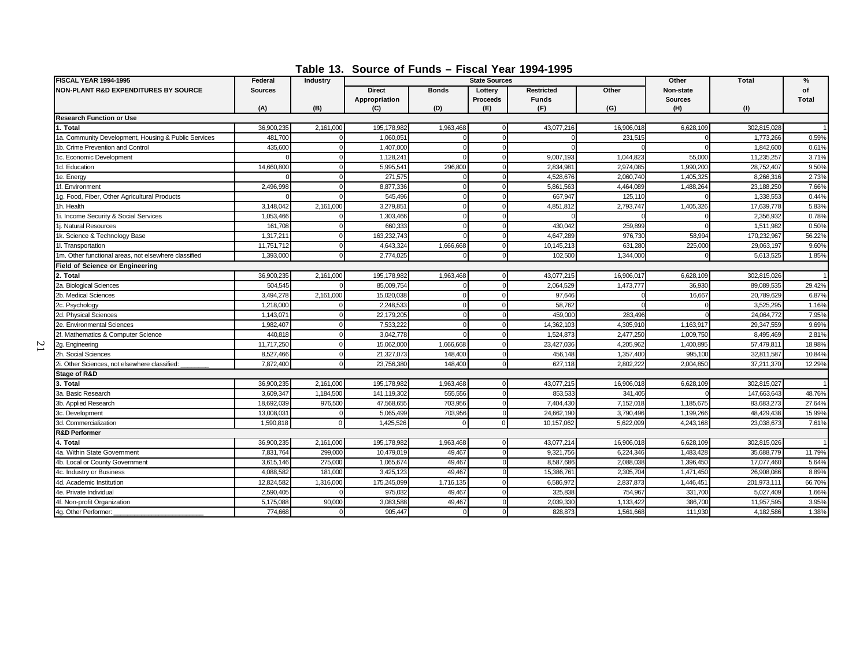**Table 13. Source of Funds – Fiscal Year 1994-1995**

| <b>FISCAL YEAR 1994-1995</b>                         | Federal        | <b>Industry</b> |                                |              | <b>State Sources</b> |                                   |            | Other                       | <b>Total</b> | %                  |
|------------------------------------------------------|----------------|-----------------|--------------------------------|--------------|----------------------|-----------------------------------|------------|-----------------------------|--------------|--------------------|
| <b>NON-PLANT R&amp;D EXPENDITURES BY SOURCE</b>      | <b>Sources</b> |                 | <b>Direct</b><br>Appropriation | <b>Bonds</b> | Lottery<br>Proceeds  | <b>Restricted</b><br><b>Funds</b> | Other      | Non-state<br><b>Sources</b> |              | of<br><b>Total</b> |
|                                                      | (A)            | (B)             | (C)                            | (D)          | (E)                  | (F)                               | (G)        | (H)                         | (1)          |                    |
| <b>Research Function or Use</b>                      |                |                 |                                |              |                      |                                   |            |                             |              |                    |
| 1. Total                                             | 36,900,235     | 2,161,000       | 195,178,982                    | 1,963,468    |                      | 43,077,216                        | 16,906,018 | 6,628,109                   | 302,815,028  |                    |
| 1a. Community Development, Housing & Public Services | 481.700        |                 | 1.060.05                       |              |                      |                                   | 231,515    |                             | 1,773,266    | 0.59%              |
| 1b. Crime Prevention and Control                     | 435,600        |                 | 1,407,000                      |              |                      |                                   |            |                             | 1.842.600    | 0.61%              |
| 1c. Economic Development                             |                |                 | 1,128,241                      |              |                      | 9,007,193                         | 1,044,823  | 55,000                      | 11,235,257   | 3.71%              |
| 1d. Education                                        | 14,660,800     |                 | 5.995.54                       | 296,800      |                      | 2.834.98                          | 2,974,085  | 1.990.200                   | 28.752.407   | 9.50%              |
| 1e. Energy                                           |                |                 | 271,575                        |              |                      | 4,528,676                         | 2,060,740  | 1,405,325                   | 8,266,316    | 2.73%              |
| 1f. Environment                                      | 2,496,998      |                 | 8,877,336                      |              |                      | 5,861,563                         | 4,464,089  | 1,488,264                   | 23,188,250   | 7.66%              |
| 1g. Food, Fiber, Other Agricultural Products         |                |                 | 545,496                        | $\Omega$     |                      | 667,947                           | 125,110    |                             | 1,338,553    | 0.44%              |
| 1h. Health                                           | 3.148.042      | 2,161,000       | 3,279,85                       |              |                      | 4,851,812                         | 2,793,747  | 1,405,326                   | 17,639,778   | 5.83%              |
| 1i. Income Security & Social Services                | 1,053,466      |                 | 1,303,466                      |              |                      |                                   |            |                             | 2,356,932    | 0.78%              |
| 1j. Natural Resources                                | 161,708        |                 | 660,333                        | $\Omega$     |                      | 430.042                           | 259,899    |                             | 1,511,98     | 0.50%              |
| 1k. Science & Technology Base                        | 1,317,21       |                 | 163,232,743                    |              |                      | 4,647,289                         | 976,73     | 58,994                      | 170,232,967  | 56.22%             |
| 1I. Transportation                                   | 11,751,712     |                 | 4,643,324                      | 1,666,668    |                      | 10,145,213                        | 631,280    | 225,000                     | 29,063,197   | 9.60%              |
| 1m. Other functional areas, not elsewhere classified | 1.393.000      |                 | 2,774,025                      |              |                      | 102,500                           | 1.344.000  |                             | 5,613,525    | 1.85%              |
| <b>Field of Science or Engineering</b>               |                |                 |                                |              |                      |                                   |            |                             |              |                    |
| 2. Total                                             | 36,900,235     | 2.161.000       | 195,178,982                    | 1,963,468    |                      | 43,077,215                        | 16,906,017 | 6,628,109                   | 302,815,026  |                    |
| 2a. Biological Sciences                              | 504,545        |                 | 85,009,754                     |              |                      | 2,064,529                         | 1,473,777  | 36,930                      | 89,089,535   | 29.42%             |
| 2b. Medical Sciences                                 | 3,494,278      | 2,161,000       | 15,020,038                     |              |                      | 97,646                            |            | 16,667                      | 20,789,629   | 6.87%              |
| 2c. Psychology                                       | 1,218,000      |                 | 2,248,533                      |              |                      | 58,762                            |            |                             | 3,525,295    | 1.16%              |
| 2d. Physical Sciences                                | 1,143,07       |                 | 22,179,205                     |              |                      | 459.00                            | 283,496    |                             | 24,064,772   | 7.95%              |
| 2e. Environmental Sciences                           | 1,982,407      |                 | 7,533,22                       |              |                      | 14,362,103                        | 4,305,91   | 1,163,917                   | 29,347,559   | 9.69%              |
| 2f. Mathematics & Computer Science                   | 440.818        |                 | 3,042,778                      |              |                      | 1,524,873                         | 2,477,250  | 1,009,750                   | 8,495,469    | 2.81%              |
| 2g. Engineering                                      | 11,717,250     |                 | 15,062,000                     | 1,666,668    |                      | 23,427,036                        | 4,205,962  | 1,400,895                   | 57,479,81    | 18.98%             |
| 2h. Social Sciences                                  | 8,527,466      |                 | 21,327,073                     | 148,400      |                      | 456,148                           | 1,357,400  | 995,100                     | 32,811,587   | 10.84%             |
| 2i. Other Sciences, not elsewhere classified:        | 7,872,400      |                 | 23,756,380                     | 148,400      |                      | 627,118                           | 2,802,222  | 2,004,850                   | 37,211,370   | 12.29%             |
| Stage of R&D                                         |                |                 |                                |              |                      |                                   |            |                             |              |                    |
| 3. Total                                             | 36,900,235     | 2,161,000       | 195,178,982                    | 1,963,468    |                      | 43,077,215                        | 16,906,018 | 6,628,109                   | 302,815,027  |                    |
| 3a. Basic Research                                   | 3,609,347      | 1,184,500       | 141,119,302                    | 555,556      |                      | 853,533                           | 341,405    |                             | 147,663,643  | 48.76%             |
| 3b. Applied Research                                 | 18,692,039     | 976,500         | 47,568,655                     | 703,956      |                      | 7,404,430                         | 7,152,018  | 1,185,675                   | 83,683,273   | 27.64%             |
| 3c. Development                                      | 13,008,031     |                 | 5,065,499                      | 703,956      |                      | 24,662,190                        | 3,790,496  | 1,199,266                   | 48,429,438   | 15.99%             |
| 3d. Commercialization                                | 1.590.818      |                 | 1,425,526                      |              |                      | 10,157,062                        | 5.622.099  | 4,243,168                   | 23,038,673   | 7.61%              |
| <b>R&amp;D Performer</b>                             |                |                 |                                |              |                      |                                   |            |                             |              |                    |
| 4. Total                                             | 36,900,235     | 2,161,000       | 195,178,982                    | 1,963,468    |                      | 43,077,214                        | 16,906,018 | 6,628,109                   | 302,815,026  |                    |
| 4a. Within State Government                          | 7,831,764      | 299,000         | 10,479,019                     | 49,467       |                      | 9,321,756                         | 6,224,346  | 1,483,428                   | 35,688,779   | 11.79%             |
| 4b. Local or County Government                       | 3,615,146      | 275,000         | 1,065,67                       | 49,467       |                      | 8,587,686                         | 2,088,038  | 1,396,450                   | 17,077,460   | 5.64%              |
| 4c. Industry or Business                             | 4,088,582      | 181,000         | 3,425,123                      | 49,467       |                      | 15,386,761                        | 2,305,704  | 1,471,450                   | 26,908,086   | 8.89%              |
| 4d. Academic Institution                             | 12,824,582     | 1,316,000       | 175,245,09                     | 1,716,135    |                      | 6,586,972                         | 2,837,873  | 1,446,45                    | 201,973,11   | 66.70%             |
| 4e. Private Individual                               | 2.590.405      |                 | 975.03                         | 49,467       |                      | 325.838                           | 754.967    | 331,700                     | 5.027.409    | 1.66%              |
| 4f. Non-profit Organization                          | 5,175,088      | 90,000          | 3,083,588                      | 49,467       |                      | 2,039,330                         | 1,133,422  | 386,700                     | 11,957,595   | 3.95%              |
| 4g. Other Performer:                                 | 774,668        |                 | 905,447                        |              |                      | 828,873                           | 1,561,668  | 111,930                     | 4,182,586    | 1.38%              |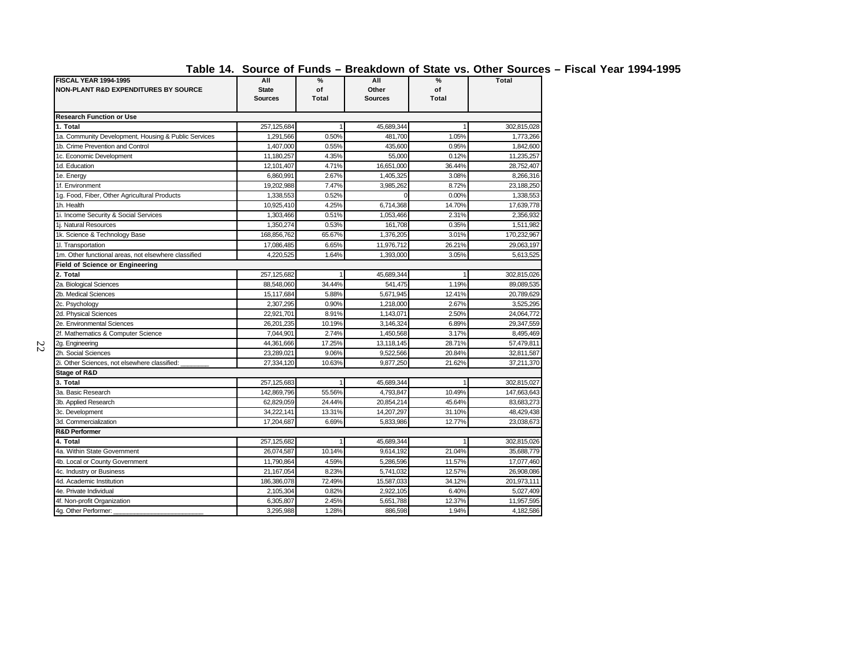| <b>FISCAL YEAR 1994-1995</b><br>NON-PLANT R&D EXPENDITURES BY SOURCE | All<br><b>State</b><br><b>Sources</b> | $\%$<br>of<br>Total | All<br>Other<br><b>Sources</b> | $\%$<br>of<br>Total | <b>Total</b> |
|----------------------------------------------------------------------|---------------------------------------|---------------------|--------------------------------|---------------------|--------------|
| <b>Research Function or Use</b>                                      |                                       |                     |                                |                     |              |
| 1. Total                                                             | 257,125,684                           |                     | 45,689,344                     |                     | 302,815,028  |
| 1a. Community Development, Housing & Public Services                 | 1,291,566                             | 0.50%               | 481,700                        | 1.05%               | 1,773,266    |
| 1b. Crime Prevention and Control                                     | 1,407,000                             | 0.55%               | 435,600                        | 0.95%               | 1,842,600    |
| 1c. Economic Development                                             | 11,180,257                            | 4.35%               | 55,000                         | 0.12%               | 11,235,257   |
| 1d. Education                                                        | 12,101,407                            | 4.71%               | 16,651,000                     | 36.44%              | 28,752,407   |
| 1e. Energy                                                           | 6,860,991                             | 2.67%               | 1,405,325                      | 3.08%               | 8,266,316    |
| 1f. Environment                                                      | 19,202,988                            | 7.47%               | 3,985,262                      | 8.72%               | 23,188,250   |
| 1g. Food, Fiber, Other Agricultural Products                         | 1,338,553                             | 0.52%               | $\Omega$                       | 0.00%               | 1,338,553    |
| 1h. Health                                                           | 10,925,410                            | 4.25%               | 6,714,368                      | 14.70%              | 17,639,778   |
| 1i. Income Security & Social Services                                | 1,303,466                             | 0.51%               | 1,053,466                      | 2.31%               | 2,356,932    |
| 1i. Natural Resources                                                | 1,350,274                             | 0.53%               | 161,708                        | 0.35%               | 1,511,982    |
| 1k. Science & Technology Base                                        | 168,856,762                           | 65.67%              | 1,376,205                      | 3.01%               | 170,232,967  |
| 11. Transportation                                                   | 17,086,485                            | 6.65%               | 11,976,712                     | 26.21%              | 29,063,197   |
| 1m. Other functional areas, not elsewhere classified                 | 4,220,525                             | 1.64%               | 1,393,000                      | 3.05%               | 5,613,525    |
| <b>Field of Science or Engineering</b>                               |                                       |                     |                                |                     |              |
| 2. Total                                                             | 257,125,682                           |                     | 45,689,344                     |                     | 302,815,026  |
| 2a. Biological Sciences                                              | 88,548,060                            | 34.44%              | 541,475                        | 1.19%               | 89,089,535   |
| 2b. Medical Sciences                                                 | 15,117,684                            | 5.88%               | 5,671,945                      | 12.41%              | 20,789,629   |
| 2c. Psychology                                                       | 2,307,295                             | 0.90%               | 1,218,000                      | 2.67%               | 3,525,295    |
| 2d. Physical Sciences                                                | 22,921,701                            | 8.91%               | 1,143,071                      | 2.50%               | 24,064,772   |
| 2e. Environmental Sciences                                           | 26,201,235                            | 10.19%              | 3,146,324                      | 6.89%               | 29,347,559   |
| 2f. Mathematics & Computer Science                                   | 7,044,901                             | 2.74%               | 1,450,568                      | 3.17%               | 8,495,469    |
| 2g. Engineering                                                      | 44,361,666                            | 17.25%              | 13,118,145                     | 28.71%              | 57,479,811   |
| 2h. Social Sciences                                                  | 23,289,021                            | 9.06%               | 9,522,566                      | 20.84%              | 32,811,587   |
| 2i. Other Sciences, not elsewhere classified:                        | 27,334,120                            | 10.63%              | 9,877,250                      | 21.62%              | 37,211,370   |
| Stage of R&D                                                         |                                       |                     |                                |                     |              |
| 3. Total                                                             | 257,125,683                           |                     | 45,689,344                     |                     | 302,815,027  |
| 3a. Basic Research                                                   | 142,869,796                           | 55.56%              | 4,793,847                      | 10.49%              | 147,663,643  |
| 3b. Applied Research                                                 | 62,829,059                            | 24.44%              | 20,854,214                     | 45.64%              | 83,683,273   |
| 3c. Development                                                      | 34,222,141                            | 13.31%              | 14,207,297                     | 31.10%              | 48,429,438   |
| 3d. Commercialization                                                | 17,204,687                            | 6.69%               | 5,833,986                      | 12.77%              | 23,038,673   |
| <b>R&amp;D Performer</b>                                             |                                       |                     |                                |                     |              |
| 4. Total                                                             | 257,125,682                           |                     | 45,689,344                     |                     | 302,815,026  |
| 4a. Within State Government                                          | 26,074,587                            | 10.14%              | 9,614,192                      | 21.04%              | 35,688,779   |
| 4b. Local or County Government                                       | 11,790,864                            | 4.59%               | 5,286,596                      | 11.57%              | 17,077,460   |
| 4c. Industry or Business                                             | 21, 167, 054                          | 8.23%               | 5,741,032                      | 12.57%              | 26,908,086   |
| 4d. Academic Institution                                             | 186,386,078                           | 72.49%              | 15,587,033                     | 34.12%              | 201,973,111  |
| 4e. Private Individual                                               | 2,105,304                             | 0.82%               | 2,922,105                      | 6.40%               | 5,027,409    |
| 4f. Non-profit Organization                                          | 6,305,807                             | 2.45%               | 5,651,788                      | 12.37%              | 11,957,595   |
| 4g. Other Performer:                                                 | 3,295,988                             | 1.28%               | 886,598                        | 1.94%               | 4,182,586    |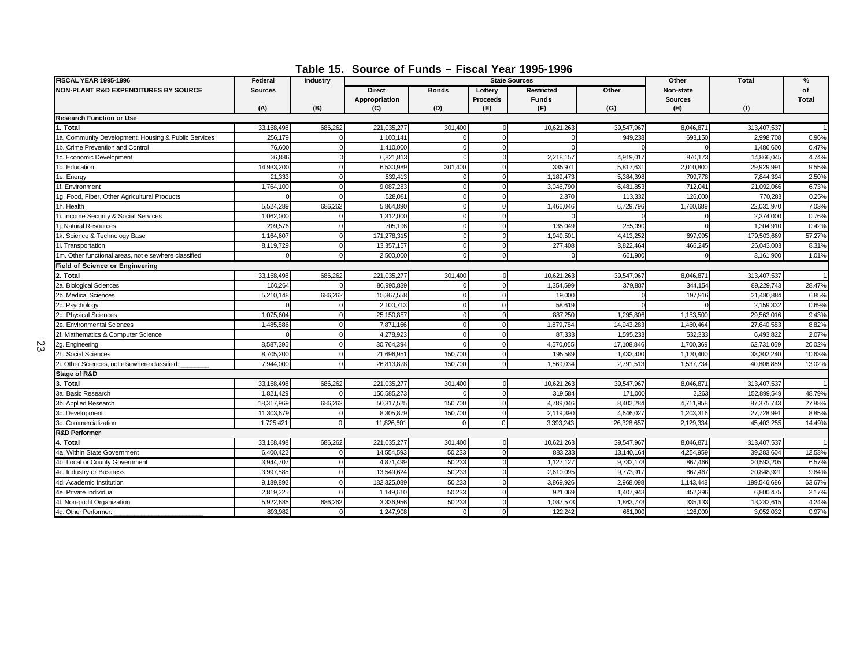**Table 15. Source of Funds – Fiscal Year 1995-1996**

| <b>FISCAL YEAR 1995-1996</b>                         | Federal        | <b>Industry</b> |                                |              |                            | <b>State Sources</b>              |            | Other                       | <b>Total</b> | $\%$               |
|------------------------------------------------------|----------------|-----------------|--------------------------------|--------------|----------------------------|-----------------------------------|------------|-----------------------------|--------------|--------------------|
| <b>NON-PLANT R&amp;D EXPENDITURES BY SOURCE</b>      | <b>Sources</b> |                 | <b>Direct</b><br>Appropriation | <b>Bonds</b> | Lotterv<br><b>Proceeds</b> | <b>Restricted</b><br><b>Funds</b> | Other      | Non-state<br><b>Sources</b> |              | of<br><b>Total</b> |
|                                                      | (A)            | (B)             | (C)                            | (D)          | (E)                        | (F)                               | (G)        | (H)                         | (1)          |                    |
| <b>Research Function or Use</b>                      |                |                 |                                |              |                            |                                   |            |                             |              |                    |
| 1. Total                                             | 33,168,498     | 686,262         | 221,035,277                    | 301,400      |                            | 10,621,263                        | 39,547,967 | 8,046,871                   | 313,407,537  |                    |
| 1a. Community Development, Housing & Public Services | 256,179        |                 | 1,100,14                       |              |                            |                                   | 949.23     | 693,150                     | 2,998,708    | 0.96%              |
| 1b. Crime Prevention and Control                     | 76,600         |                 | 1,410,00                       |              |                            |                                   |            |                             | 1,486,600    | 0.47%              |
| 1c. Economic Development                             | 36,886         |                 | 6,821,813                      |              |                            | 2,218,157                         | 4,919,017  | 870,173                     | 14,866,045   | 4.74%              |
| 1d. Education                                        | 14.933.200     |                 | 6,530,989                      | 301,400      |                            | 335.97                            | 5,817,63   | 2,010,800                   | 29.929.99    | 9.55%              |
| 1e. Energy                                           | 21,333         |                 | 539,41                         |              |                            | 1,189,473                         | 5,384,398  | 709,778                     | 7,844,394    | 2.50%              |
| 1f. Environment                                      | 1,764,100      | $\Omega$        | 9,087,283                      |              |                            | 3,046,790                         | 6,481,853  | 712,041                     | 21,092,066   | 6.73%              |
| 1g. Food, Fiber, Other Agricultural Products         |                |                 | 528,08                         |              |                            | 2,870                             | 113,332    | 126,000                     | 770,28       | 0.25%              |
| 1h. Health                                           | 5,524,289      | 686,262         | 5,864,89                       |              |                            | 1,466,046                         | 6,729,796  | 1,760,689                   | 22,031,970   | 7.03%              |
| 1i. Income Security & Social Services                | 1,062,000      |                 | 1,312,000                      |              |                            |                                   |            |                             | 2.374.000    | 0.76%              |
| 1j. Natural Resources                                | 209,576        |                 | 705,196                        | $\Omega$     |                            | 135,049                           | 255,090    |                             | 1,304,910    | 0.42%              |
| 1k. Science & Technology Base                        | 1,164,607      |                 | 171,278,31                     |              |                            | 1,949,50                          | 4.413.25   | 697,995                     | 179,503,669  | 57.27%             |
| 1I. Transportation                                   | 8,119,729      | n               | 13,357,157                     | $\Omega$     |                            | 277,408                           | 3,822,464  | 466,245                     | 26,043,003   | 8.31%              |
| 1m. Other functional areas, not elsewhere classified | $\Omega$       |                 | 2,500,000                      | $\Omega$     |                            | $\Omega$                          | 661,900    | $\Omega$                    | 3,161,900    | 1.01%              |
| <b>Field of Science or Engineering</b>               |                |                 |                                |              |                            |                                   |            |                             |              |                    |
| 2. Total                                             | 33,168,498     | 686,262         | 221,035,277                    | 301,400      |                            | 10,621,263                        | 39,547,967 | 8,046,871                   | 313,407,537  |                    |
| 2a. Biological Sciences                              | 160.264        |                 | 86,990,839                     |              |                            | 1,354,599                         | 379,887    | 344.154                     | 89.229.743   | 28.47%             |
| 2b. Medical Sciences                                 | 5,210,148      | 686,262         | 15,367,558                     |              |                            | 19,000                            |            | 197,916                     | 21,480,884   | 6.85%              |
| 2c. Psychology                                       |                |                 | 2,100,713                      |              |                            | 58,619                            |            |                             | 2,159,332    | 0.69%              |
| 2d. Physical Sciences                                | 1,075,604      |                 | 25,150,857                     | $\Omega$     |                            | 887,250                           | 1,295,806  | 1,153,500                   | 29,563,016   | 9.43%              |
| 2e. Environmental Sciences                           | 1,485,886      |                 | 7,871,166                      | $\Omega$     |                            | 1,879,784                         | 14,943,283 | 1,460,464                   | 27,640,583   | 8.82%              |
| 2f. Mathematics & Computer Science                   |                |                 | 4,278,923                      |              |                            | 87,333                            | 1,595,233  | 532,333                     | 6,493,822    | 2.07%              |
| 2g. Engineering                                      | 8,587,395      |                 | 30,764,394                     |              |                            | 4,570,055                         | 17,108,846 | 1,700,369                   | 62,731,059   | 20.02%             |
| 2h. Social Sciences                                  | 8.705.200      |                 | 21.696.95                      | 150,700      |                            | 195,589                           | 1,433,400  | 1,120,400                   | 33.302.240   | 10.63%             |
| 2i. Other Sciences, not elsewhere classified:        | 7,944,000      |                 | 26,813,878                     | 150,700      |                            | 1,569,034                         | 2,791,51   | 1,537,734                   | 40,806,859   | 13.02%             |
| <b>Stage of R&amp;D</b>                              |                |                 |                                |              |                            |                                   |            |                             |              |                    |
| 3. Total                                             | 33,168,498     | 686,262         | 221,035,277                    | 301,400      |                            | 10,621,263                        | 39,547,967 | 8,046,871                   | 313,407,537  |                    |
| 3a. Basic Research                                   | 1,821,429      |                 | 150,585,273                    |              |                            | 319,584                           | 171.000    | 2.263                       | 152,899,549  | 48.79%             |
| 3b. Applied Research                                 | 18,317,969     | 686,262         | 50,317,52                      | 150,700      |                            | 4,789,046                         | 8,402,284  | 4,711,958                   | 87,375,743   | 27.88%             |
| 3c. Development                                      | 11,303,679     |                 | 8,305,879                      | 150,700      |                            | 2,119,390                         | 4,646,027  | 1,203,316                   | 27,728,991   | 8.85%              |
| 3d. Commercialization                                | 1,725,421      | $\Omega$        | 11,826,60                      |              |                            | 3.393.243                         | 26,328,65  | 2,129,334                   | 45.403.255   | 14.49%             |
| <b>R&amp;D Performer</b>                             |                |                 |                                |              |                            |                                   |            |                             |              |                    |
| 4. Total                                             | 33,168,498     | 686.262         | 221,035,277                    | 301,400      |                            | 10,621,263                        | 39,547,967 | 8,046,871                   | 313,407,537  |                    |
| 4a. Within State Government                          | 6,400,422      |                 | 14,554,593                     | 50,233       |                            | 883,23                            | 13,140,164 | 4,254,959                   | 39,283,604   | 12.53%             |
| 4b. Local or County Government                       | 3,944,707      |                 | 4.871.499                      | 50.233       |                            | 1,127,127                         | 9,732,173  | 867,466                     | 20.593.205   | 6.57%              |
| 4c. Industry or Business                             | 3,997,585      | ſ               | 13,549,624                     | 50,233       |                            | 2,610,095                         | 9,773,917  | 867,467                     | 30,848,92    | 9.84%              |
| 4d. Academic Institution                             | 9,189,892      |                 | 182,325,08                     | 50,233       |                            | 3,869,926                         | 2,968,098  | 1,143,448                   | 199,546,686  | 63.67%             |
| 4e. Private Individual                               | 2.819.225      |                 | 1.149.61                       | 50.233       |                            | 921.069                           | 1.407.943  | 452.396                     | 6.800.475    | 2.17%              |
| 4f. Non-profit Organization                          | 5,922,685      | 686,262         | 3,336,956                      | 50,233       |                            | 1,087,573                         | 1,863,773  | 335,133                     | 13,282,615   | 4.24%              |
| 4g. Other Performer:                                 | 893,982        |                 | 1,247,908                      |              |                            | 122,242                           | 661,900    | 126,000                     | 3,052,032    | 0.97%              |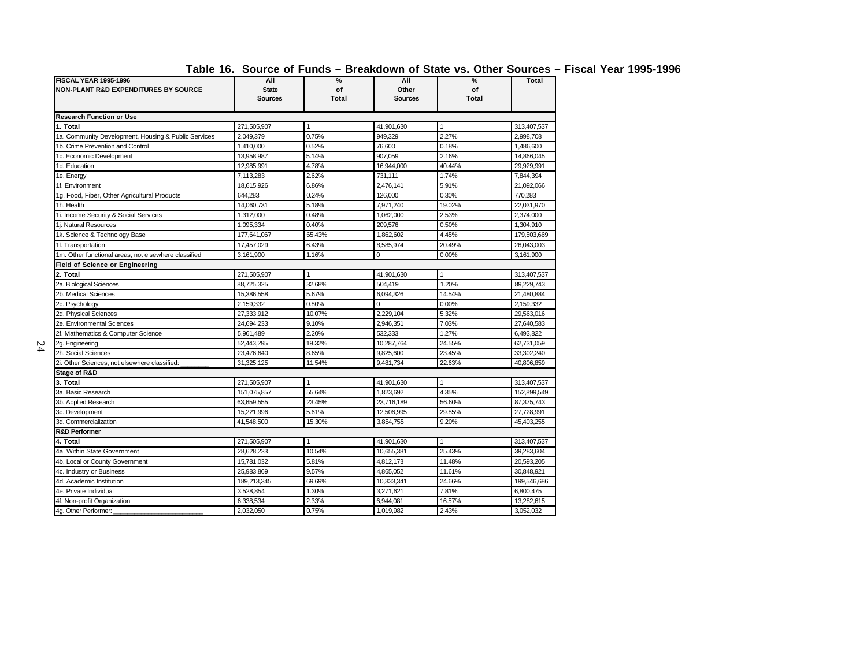| Table 16. Source of Funds – Breakdown of State vs. Other Sources – Fiscal Year 1995-1996 |  |  |  |  |  |  |  |  |  |  |  |  |
|------------------------------------------------------------------------------------------|--|--|--|--|--|--|--|--|--|--|--|--|
|------------------------------------------------------------------------------------------|--|--|--|--|--|--|--|--|--|--|--|--|

| <b>FISCAL YEAR 1995-1996</b><br><b>NON-PLANT R&amp;D EXPENDITURES BY SOURCE</b> | All<br><b>State</b><br><b>Sources</b> | $\%$<br>of<br>Total | All<br>Other<br><b>Sources</b> | %<br>of<br><b>Total</b> | <b>Total</b> |
|---------------------------------------------------------------------------------|---------------------------------------|---------------------|--------------------------------|-------------------------|--------------|
| <b>Research Function or Use</b>                                                 |                                       |                     |                                |                         |              |
| 1. Total                                                                        | 271,505,907                           | 1                   | 41,901,630                     | $\mathbf{1}$            | 313,407,537  |
| 1a. Community Development, Housing & Public Services                            | 2,049,379                             | 0.75%               | 949.329                        | 2.27%                   | 2,998,708    |
| 1b. Crime Prevention and Control                                                | 1,410,000                             | 0.52%               | 76,600                         | 0.18%                   | 1,486,600    |
| 1c. Economic Development                                                        | 13,958,987                            | 5.14%               | 907,059                        | 2.16%                   | 14,866,045   |
| 1d. Education                                                                   | 12,985,991                            | 4.78%               | 16,944,000                     | 40.44%                  | 29,929,991   |
| 1e. Energy                                                                      | 7,113,283                             | 2.62%               | 731.111                        | 1.74%                   | 7,844,394    |
| 1f. Environment                                                                 | 18,615,926                            | 6.86%               | 2,476,141                      | 5.91%                   | 21,092,066   |
| 1g. Food, Fiber, Other Agricultural Products                                    | 644.283                               | 0.24%               | 126.000                        | 0.30%                   | 770.283      |
| 1h. Health                                                                      | 14.060.731                            | 5.18%               | 7.971.240                      | 19.02%                  | 22.031.970   |
| 1i. Income Security & Social Services                                           | 1,312,000                             | 0.48%               | 1,062,000                      | 2.53%                   | 2,374,000    |
| 1i. Natural Resources                                                           | 1.095.334                             | 0.40%               | 209.576                        | 0.50%                   | 1.304.910    |
| 1k. Science & Technology Base                                                   | 177,641,067                           | 65.43%              | 1,862,602                      | 4.45%                   | 179,503,669  |
| 11. Transportation                                                              | 17,457,029                            | 6.43%               | 8,585,974                      | 20.49%                  | 26,043,003   |
| 1m. Other functional areas, not elsewhere classified                            | 3,161,900                             | 1.16%               | 0                              | 0.00%                   | 3,161,900    |
| <b>Field of Science or Engineering</b>                                          |                                       |                     |                                |                         |              |
| 2. Total                                                                        | 271,505,907                           | 1                   | 41,901,630                     | 1                       | 313,407,537  |
| 2a. Biological Sciences                                                         | 88,725,325                            | 32.68%              | 504.419                        | 1.20%                   | 89,229,743   |
| 2b. Medical Sciences                                                            | 15,386,558                            | 5.67%               | 6,094,326                      | 14.54%                  | 21,480,884   |
| 2c. Psychology                                                                  | 2,159,332                             | 0.80%               | 0                              | 0.00%                   | 2,159,332    |
| 2d. Physical Sciences                                                           | 27.333.912                            | 10.07%              | 2,229,104                      | 5.32%                   | 29.563.016   |
| 2e. Environmental Sciences                                                      | 24,694,233                            | 9.10%               | 2,946,351                      | 7.03%                   | 27,640,583   |
| 2f. Mathematics & Computer Science                                              | 5,961,489                             | 2.20%               | 532.333                        | 1.27%                   | 6,493,822    |
| 2g. Engineering                                                                 | 52,443,295                            | 19.32%              | 10,287,764                     | 24.55%                  | 62,731,059   |
| 2h. Social Sciences                                                             | 23,476,640                            | 8.65%               | 9,825,600                      | 23.45%                  | 33,302,240   |
| 2i. Other Sciences, not elsewhere classified:                                   | 31,325,125                            | 11.54%              | 9,481,734                      | 22.63%                  | 40,806,859   |
| Stage of R&D                                                                    |                                       |                     |                                |                         |              |
| 3. Total                                                                        | 271,505,907                           | $\mathbf{1}$        | 41,901,630                     | $\mathbf{1}$            | 313,407,537  |
| 3a. Basic Research                                                              | 151,075,857                           | 55.64%              | 1.823.692                      | 4.35%                   | 152,899,549  |
| 3b. Applied Research                                                            | 63,659,555                            | 23.45%              | 23,716,189                     | 56.60%                  | 87,375,743   |
| 3c. Development                                                                 | 15,221,996                            | 5.61%               | 12,506,995                     | 29.85%                  | 27,728,991   |
| 3d. Commercialization                                                           | 41.548.500                            | 15.30%              | 3.854.755                      | 9.20%                   | 45.403.255   |
| <b>R&amp;D Performer</b>                                                        |                                       |                     |                                |                         |              |
| 4. Total                                                                        | 271,505,907                           | 1                   | 41,901,630                     | $\mathbf{1}$            | 313,407,537  |
| 4a. Within State Government                                                     | 28,628,223                            | 10.54%              | 10,655,381                     | 25.43%                  | 39,283,604   |
| 4b. Local or County Government                                                  | 15,781,032                            | 5.81%               | 4,812,173                      | 11.48%                  | 20,593,205   |
| 4c. Industry or Business                                                        | 25,983,869                            | 9.57%               | 4,865,052                      | 11.61%                  | 30,848,921   |
| 4d. Academic Institution                                                        | 189,213,345                           | 69.69%              | 10,333,341                     | 24.66%                  | 199,546,686  |
| 4e. Private Individual                                                          | 3,528,854                             | 1.30%               | 3,271,621                      | 7.81%                   | 6,800,475    |
| 4f. Non-profit Organization                                                     | 6,338,534                             | 2.33%               | 6,944,081                      | 16.57%                  | 13,282,615   |
| 4g. Other Performer:                                                            | 2,032,050                             | 0.75%               | 1,019,982                      | 2.43%                   | 3,052,032    |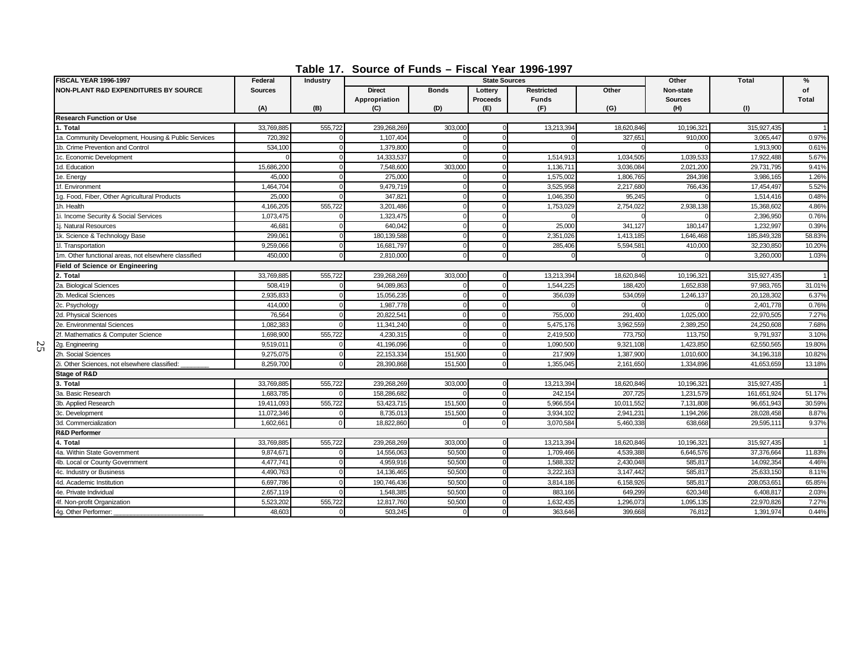**Table 17. Source of Funds – Fiscal Year 1996-1997**

| <b>FISCAL YEAR 1996-1997</b>                         | Federal        | Industry |                                |              | <b>State Sources</b>       |                                   |            | Other                       | Total       | $\frac{9}{6}$      |
|------------------------------------------------------|----------------|----------|--------------------------------|--------------|----------------------------|-----------------------------------|------------|-----------------------------|-------------|--------------------|
| <b>NON-PLANT R&amp;D EXPENDITURES BY SOURCE</b>      | <b>Sources</b> |          | <b>Direct</b><br>Appropriation | <b>Bonds</b> | Lotterv<br><b>Proceeds</b> | <b>Restricted</b><br><b>Funds</b> | Other      | Non-state<br><b>Sources</b> |             | of<br><b>Total</b> |
|                                                      | (A)            | (B)      | (C)                            | (D)          | (E)                        | (F)                               | (G)        | (H)                         | (1)         |                    |
| <b>Research Function or Use</b>                      |                |          |                                |              |                            |                                   |            |                             |             |                    |
| 1. Total                                             | 33,769,885     | 555.722  | 239,268,269                    | 303,000      |                            | 13.213.394                        | 18,620,846 | 10,196,32                   | 315,927,435 |                    |
| 1a. Community Development, Housing & Public Services | 720,392        |          | 1,107,40                       |              |                            |                                   | 327,65     | 910,000                     | 3,065,447   | 0.97%              |
| 1b. Crime Prevention and Control                     | 534,100        |          | 1,379,80                       |              |                            |                                   |            |                             | 1,913,900   | 0.61%              |
| 1c. Economic Development                             |                |          | 14,333,537                     |              |                            | 1,514,913                         | 1,034,505  | 1,039,533                   | 17,922,488  | 5.67%              |
| 1d. Education                                        | 15,686,200     |          | 7,548,600                      | 303,000      |                            | 1,136,71                          | 3,036,084  | 2,021,200                   | 29,731,795  | 9.41%              |
| 1e. Energy                                           | 45,000         |          | 275,000                        |              |                            | 1,575,002                         | 1,806,765  | 284,398                     | 3,986,165   | 1.26%              |
| 1f. Environment                                      | 1,464,704      |          | 9,479,719                      |              |                            | 3,525,958                         | 2,217,680  | 766,436                     | 17,454,497  | 5.52%              |
| 1g. Food, Fiber, Other Agricultural Products         | 25,000         |          | 347.82                         |              |                            | 1,046,350                         | 95.245     |                             | 1,514,416   | 0.48%              |
| 1h. Health                                           | 4,166,205      | 555,722  | 3,201,486                      | $\Omega$     |                            | 1,753,02                          | 2,754,022  | 2,938,138                   | 15,368,602  | 4.86%              |
| 1i. Income Security & Social Services                | 1,073,475      |          | 1,323,475                      | $\Omega$     |                            |                                   |            |                             | 2.396.950   | 0.76%              |
| 1j. Natural Resources                                | 46,681         |          | 640,042                        | $\Omega$     |                            | 25,000                            | 341,127    | 180,147                     | 1,232,997   | 0.39%              |
| 1k. Science & Technology Base                        | 299,061        |          | 180,139,588                    | $\Omega$     |                            | 2,351,026                         | 1,413,185  | 1,646,468                   | 185,849,328 | 58.83%             |
| 1I. Transportation                                   | 9,259,066      |          | 16,681,797                     | $\Omega$     |                            | 285,406                           | 5,594,581  | 410,000                     | 32,230,850  | 10.20%             |
| 1m. Other functional areas, not elsewhere classified | 450,000        | C        | 2,810,000                      | $\Omega$     | $\Omega$                   |                                   |            |                             | 3,260,000   | 1.03%              |
| <b>Field of Science or Engineering</b>               |                |          |                                |              |                            |                                   |            |                             |             |                    |
| 2. Total                                             | 33,769,885     | 555,722  | 239,268,269                    | 303,000      |                            | 13,213,394                        | 18,620,846 | 10,196,32                   | 315,927,435 |                    |
| 2a. Biological Sciences                              | 508,419        |          | 94.089.863                     |              |                            | 1,544,22                          | 188,42     | 1,652,838                   | 97,983,765  | 31.01%             |
| 2b. Medical Sciences                                 | 2,935,833      |          | 15.056.235                     | $\Omega$     |                            | 356,039                           | 534,059    | 1,246,137                   | 20,128,302  | 6.37%              |
| 2c. Psychology                                       | 414,000        |          | 1,987,778                      |              |                            |                                   |            |                             | 2,401,778   | 0.76%              |
| 2d. Physical Sciences                                | 76,564         |          | 20.822.541                     | $\Omega$     |                            | 755,000                           | 291,400    | 1,025,000                   | 22,970,505  | 7.27%              |
| 2e. Environmental Sciences                           | 1,082,383      |          | 11,341,240                     | $\Omega$     |                            | 5,475,176                         | 3,962,559  | 2,389,250                   | 24,250,608  | 7.68%              |
| 2f. Mathematics & Computer Science                   | 1,698,900      | 555,722  | 4,230,315                      | $\Omega$     |                            | 2,419,500                         | 773,750    | 113,750                     | 9,791,937   | 3.10%              |
| 2g. Engineering                                      | 9,519,01       |          | 41,196,096                     | $\Omega$     |                            | 1,090,500                         | 9,321,108  | 1,423,850                   | 62,550,565  | 19.80%             |
| 2h. Social Sciences                                  | 9,275,075      |          | 22,153,334                     | 151,500      | $\Omega$                   | 217,909                           | 1,387,900  | 1,010,600                   | 34,196,318  | 10.82%             |
| 2i. Other Sciences, not elsewhere classified:        | 8,259,700      |          | 28,390,868                     | 151,500      |                            | 1,355,045                         | 2,161,650  | 1,334,896                   | 41,653,659  | 13.18%             |
| <b>Stage of R&amp;D</b>                              |                |          |                                |              |                            |                                   |            |                             |             |                    |
| 3. Total                                             | 33,769,885     | 555,722  | 239,268,269                    | 303,000      |                            | 13,213,394                        | 18,620,846 | 10,196,321                  | 315,927,435 |                    |
| 3a. Basic Research                                   | 1.683.785      |          | 158,286,682                    |              |                            | 242.154                           | 207.72     | 1,231,579                   | 161,651,924 | 51.17%             |
| 3b. Applied Research                                 | 19,411,093     | 555,722  | 53,423,715                     | 151,500      |                            | 5,966,554                         | 10,011,552 | 7,131,808                   | 96,651,943  | 30.59%             |
| 3c. Development                                      | 11,072,346     |          | 8,735,013                      | 151,500      |                            | 3,934,102                         | 2,941,231  | 1,194,266                   | 28,028,458  | 8.87%              |
| 3d. Commercialization                                | 1,602,661      | $\Omega$ | 18,822,860                     |              |                            | 3,070,584                         | 5,460,338  | 638,668                     | 29,595,111  | 9.37%              |
| <b>R&amp;D Performer</b>                             |                |          |                                |              |                            |                                   |            |                             |             |                    |
| 4. Total                                             | 33,769,885     | 555,722  | 239,268,269                    | 303,000      |                            | 13,213,394                        | 18,620,846 | 10,196,32                   | 315,927,435 |                    |
| 4a. Within State Government                          | 9,874,671      |          | 14,556,063                     | 50,500       |                            | 1,709,466                         | 4,539,388  | 6,646,576                   | 37,376,664  | 11.83%             |
| 4b. Local or County Government                       | 4,477,741      |          | 4.959.916                      | 50,500       |                            | 1.588.33                          | 2,430,048  | 585.81                      | 14.092.354  | 4.46%              |
| 4c. Industry or Business                             | 4,490,763      |          | 14,136,465                     | 50,500       |                            | 3,222,163                         | 3,147,442  | 585,81                      | 25,633,150  | 8.11%              |
| 4d. Academic Institution                             | 6,697,786      |          | 190,746,436                    | 50,500       |                            | 3,814,186                         | 6,158,926  | 585,81                      | 208,053,65  | 65.85%             |
| 4e. Private Individual                               | 2,657,119      |          | 1,548,385                      | 50,500       |                            | 883,166                           | 649,299    | 620,348                     | 6,408,817   | 2.03%              |
| 4f. Non-profit Organization                          | 5,523,202      | 555,722  | 12,817,760                     | 50,500       |                            | 1,632,435                         | 1,296,073  | 1,095,135                   | 22,970,826  | 7.27%              |
| 4g. Other Performer:                                 | 48,603         |          | 503,245                        | $\Omega$     |                            | 363,646                           | 399,668    | 76,812                      | 1,391,974   | 0.44%              |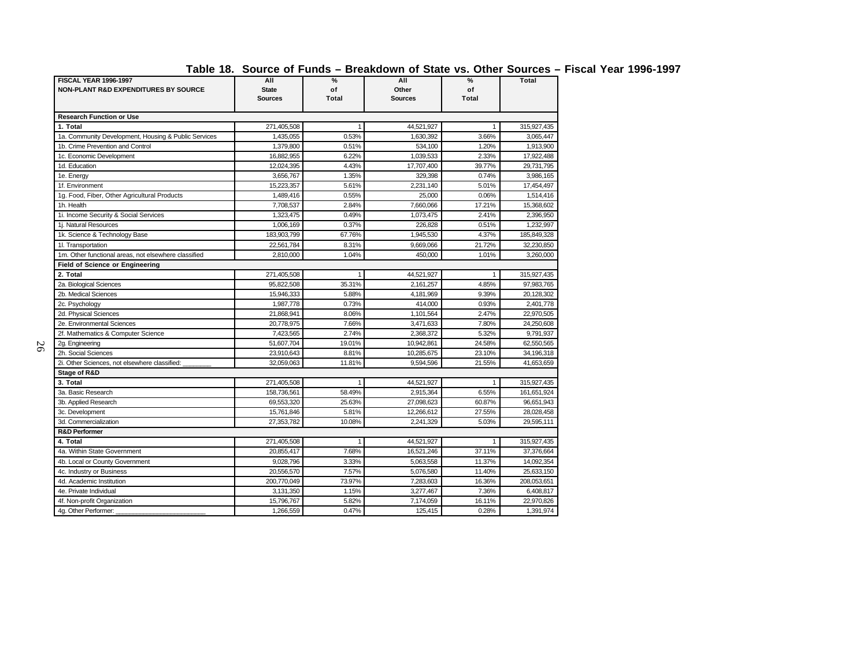| Table 18. Source of Funds – Breakdown of State vs. Other Sources – Fiscal Year 1996-1997 |  |  |  |  |  |  |
|------------------------------------------------------------------------------------------|--|--|--|--|--|--|
|------------------------------------------------------------------------------------------|--|--|--|--|--|--|

| .<br><b>FISCAL YEAR 1996-1997</b>                    | All            | %            | All        | %            | <b>Total</b> |
|------------------------------------------------------|----------------|--------------|------------|--------------|--------------|
| <b>NON-PLANT R&amp;D EXPENDITURES BY SOURCE</b>      | <b>State</b>   | of           | Other      | of           |              |
|                                                      | <b>Sources</b> | <b>Total</b> | Sources    | <b>Total</b> |              |
| <b>Research Function or Use</b>                      |                |              |            |              |              |
| 1. Total                                             | 271,405,508    | 1            | 44,521,927 | 1            | 315,927,435  |
| 1a. Community Development, Housing & Public Services | 1,435,055      | 0.53%        | 1.630.392  | 3.66%        | 3,065,447    |
| 1b. Crime Prevention and Control                     | 1,379,800      | 0.51%        | 534,100    | 1.20%        | 1,913,900    |
| 1c. Economic Development                             | 16,882,955     | 6.22%        | 1,039,533  | 2.33%        | 17,922,488   |
| 1d. Education                                        | 12,024,395     | 4.43%        | 17,707,400 | 39.77%       | 29,731,795   |
| 1e. Energy                                           | 3,656,767      | 1.35%        | 329,398    | 0.74%        | 3,986,165    |
| 1f. Environment                                      | 15,223,357     | 5.61%        | 2,231,140  | 5.01%        | 17,454,497   |
| 1g. Food, Fiber, Other Agricultural Products         | 1,489,416      | 0.55%        | 25,000     | 0.06%        | 1,514,416    |
| 1h. Health                                           | 7,708,537      | 2.84%        | 7,660,066  | 17.21%       | 15,368,602   |
| 1i. Income Security & Social Services                | 1,323,475      | 0.49%        | 1,073,475  | 2.41%        | 2,396,950    |
| 1j. Natural Resources                                | 1,006,169      | 0.37%        | 226,828    | 0.51%        | 1,232,997    |
| 1k. Science & Technology Base                        | 183,903,799    | 67.76%       | 1,945,530  | 4.37%        | 185,849,328  |
| 1I. Transportation                                   | 22,561,784     | 8.31%        | 9,669,066  | 21.72%       | 32,230,850   |
| 1m. Other functional areas, not elsewhere classified | 2,810,000      | 1.04%        | 450,000    | 1.01%        | 3,260,000    |
| <b>Field of Science or Engineering</b>               |                |              |            |              |              |
| 2. Total                                             | 271,405,508    | 1            | 44,521,927 | 1            | 315,927,435  |
| 2a. Biological Sciences                              | 95,822,508     | 35.31%       | 2,161,257  | 4.85%        | 97,983,765   |
| 2b. Medical Sciences                                 | 15,946,333     | 5.88%        | 4,181,969  | 9.39%        | 20,128,302   |
| 2c. Psychology                                       | 1,987,778      | 0.73%        | 414,000    | 0.93%        | 2,401,778    |
| 2d. Physical Sciences                                | 21,868,941     | 8.06%        | 1,101,564  | 2.47%        | 22,970,505   |
| 2e. Environmental Sciences                           | 20,778,975     | 7.66%        | 3,471,633  | 7.80%        | 24,250,608   |
| 2f. Mathematics & Computer Science                   | 7,423,565      | 2.74%        | 2,368,372  | 5.32%        | 9,791,937    |
| 2g. Engineering                                      | 51,607,704     | 19.01%       | 10.942.861 | 24.58%       | 62,550,565   |
| 2h. Social Sciences                                  | 23,910,643     | 8.81%        | 10,285,675 | 23.10%       | 34,196,318   |
| 2i. Other Sciences, not elsewhere classified:        | 32,059,063     | 11.81%       | 9,594,596  | 21.55%       | 41,653,659   |
| <b>Stage of R&amp;D</b>                              |                |              |            |              |              |
| 3. Total                                             | 271,405,508    | $\mathbf{1}$ | 44,521,927 | $\mathbf{1}$ | 315,927,435  |
| 3a. Basic Research                                   | 158,736,561    | 58.49%       | 2,915,364  | 6.55%        | 161,651,924  |
| 3b. Applied Research                                 | 69,553,320     | 25.63%       | 27,098,623 | 60.87%       | 96,651,943   |
| 3c. Development                                      | 15,761,846     | 5.81%        | 12,266,612 | 27.55%       | 28,028,458   |
| 3d. Commercialization                                | 27,353,782     | 10.08%       | 2.241.329  | 5.03%        | 29,595,111   |
| <b>R&amp;D Performer</b>                             |                |              |            |              |              |
| 4. Total                                             | 271,405,508    | 1            | 44,521,927 | 1            | 315,927,435  |
| 4a. Within State Government                          | 20,855,417     | 7.68%        | 16,521,246 | 37.11%       | 37,376,664   |
| 4b. Local or County Government                       | 9,028,796      | 3.33%        | 5,063,558  | 11.37%       | 14,092,354   |
| 4c. Industry or Business                             | 20,556,570     | 7.57%        | 5,076,580  | 11.40%       | 25,633,150   |
| 4d. Academic Institution                             | 200,770,049    | 73.97%       | 7,283,603  | 16.36%       | 208,053,651  |
| 4e. Private Individual                               | 3,131,350      | 1.15%        | 3,277,467  | 7.36%        | 6,408,817    |
| 4f. Non-profit Organization                          | 15,796,767     | 5.82%        | 7,174,059  | 16.11%       | 22,970,826   |
| 4g. Other Performer:                                 | 1,266,559      | 0.47%        | 125,415    | 0.28%        | 1,391,974    |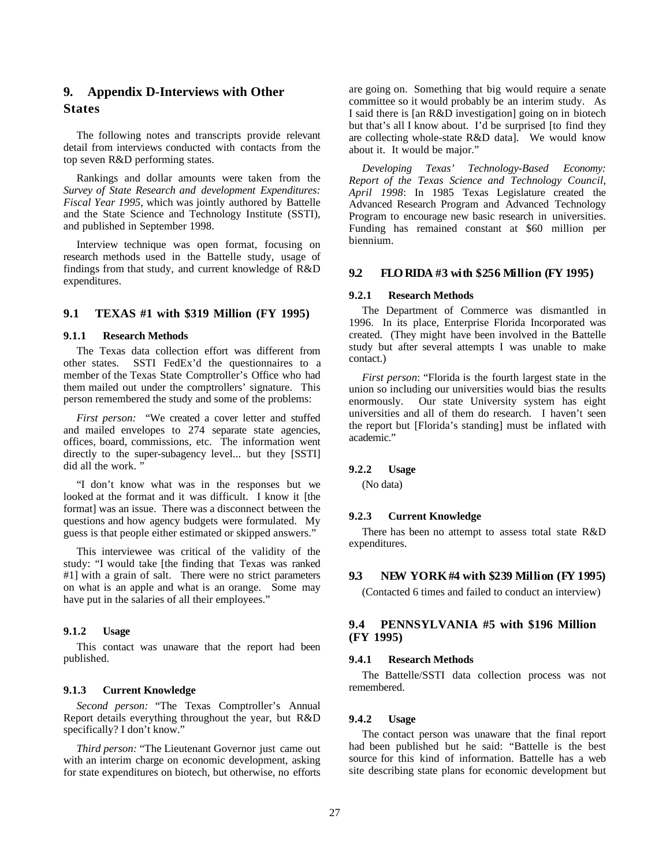## **9. Appendix D-Interviews with Other States**

The following notes and transcripts provide relevant detail from interviews conducted with contacts from the top seven R&D performing states.

Rankings and dollar amounts were taken from the *Survey of State Research and development Expenditures: Fiscal Year 1995*, which was jointly authored by Battelle and the State Science and Technology Institute (SSTI), and published in September 1998.

Interview technique was open format, focusing on research methods used in the Battelle study, usage of findings from that study, and current knowledge of R&D expenditures.

### **9.1 TEXAS #1 with \$319 Million (FY 1995)**

#### **9.1.1 Research Methods**

The Texas data collection effort was different from other states. SSTI FedEx'd the questionnaires to a member of the Texas State Comptroller's Office who had them mailed out under the comptrollers' signature. This person remembered the study and some of the problems:

*First person:* "We created a cover letter and stuffed and mailed envelopes to 274 separate state agencies, offices, board, commissions, etc. The information went directly to the super-subagency level... but they [SSTI] did all the work. "

"I don't know what was in the responses but we looked at the format and it was difficult. I know it [the format] was an issue. There was a disconnect between the questions and how agency budgets were formulated. My guess is that people either estimated or skipped answers."

This interviewee was critical of the validity of the study: "I would take [the finding that Texas was ranked #1] with a grain of salt. There were no strict parameters on what is an apple and what is an orange. Some may have put in the salaries of all their employees."

## **9.1.2 Usage**

This contact was unaware that the report had been published.

### **9.1.3 Current Knowledge**

*Second person:* "The Texas Comptroller's Annual Report details everything throughout the year, but R&D specifically? I don't know."

*Third person:* "The Lieutenant Governor just came out with an interim charge on economic development, asking for state expenditures on biotech, but otherwise, no efforts are going on. Something that big would require a senate committee so it would probably be an interim study. As I said there is [an R&D investigation] going on in biotech but that's all I know about. I'd be surprised [to find they are collecting whole-state R&D data]. We would know about it. It would be major."

*Developing Texas' Technology-Based Economy: Report of the Texas Science and Technology Council,* April 1998: In 1985 Texas Legislature created the Advanced Research Program and Advanced Technology Program to encourage new basic research in universities. Funding has remained constant at \$60 million per biennium.

## **9.2 FLO RIDA #3 with \$256 Million (FY 1995)**

#### **9.2.1 Research Methods**

The Department of Commerce was dismantled in 1996. In its place, Enterprise Florida Incorporated was created. (They might have been involved in the Battelle study but after several attempts I was unable to make contact.)

*First person*: "Florida is the fourth largest state in the union so including our universities would bias the results enormously. Our state University system has eight universities and all of them do research. I haven't seen the report but [Florida's standing] must be inflated with academic."

## **9.2.2 Usage**

(No data)

#### **9.2.3 Current Knowledge**

There has been no attempt to assess total state R&D expenditures.

#### **9.3 NEW YORK #4 with \$239 Million (FY 1995)**

(Contacted 6 times and failed to conduct an interview)

### **9.4 PENNSYLVANIA #5 with \$196 Million (FY 1995)**

#### **9.4.1 Research Methods**

The Battelle/SSTI data collection process was not remembered.

#### **9.4.2 Usage**

The contact person was unaware that the final report had been published but he said: "Battelle is the best source for this kind of information. Battelle has a web site describing state plans for economic development but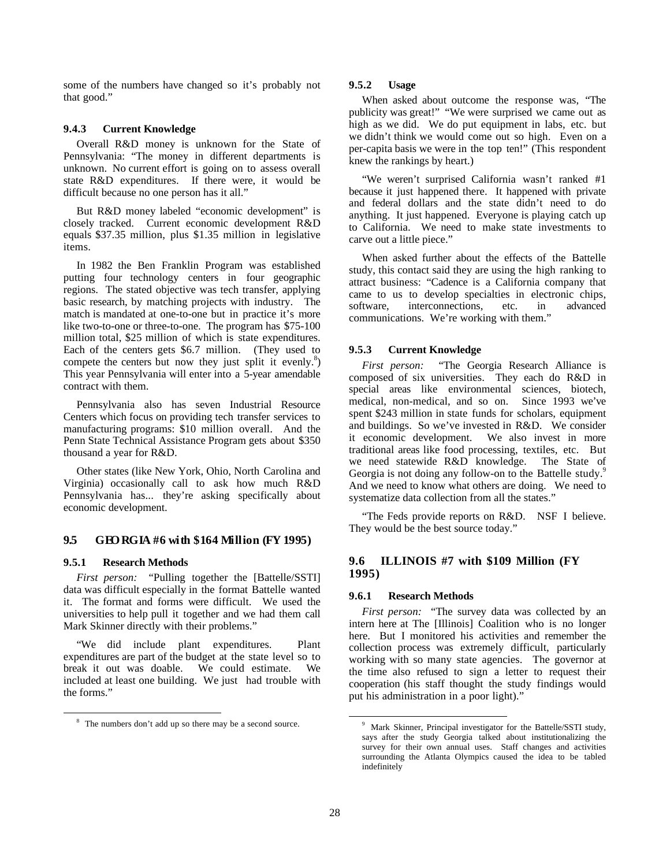some of the numbers have changed so it's probably not that good."

#### **9.4.3 Current Knowledge**

Overall R&D money is unknown for the State of Pennsylvania: "The money in different departments is unknown. No current effort is going on to assess overall state R&D expenditures. If there were, it would be difficult because no one person has it all."

But R&D money labeled "economic development" is closely tracked. Current economic development R&D equals \$37.35 million, plus \$1.35 million in legislative items.

In 1982 the Ben Franklin Program was established putting four technology centers in four geographic regions. The stated objective was tech transfer, applying basic research, by matching projects with industry. The match is mandated at one-to-one but in practice it's more like two-to-one or three-to-one. The program has \$75-100 million total, \$25 million of which is state expenditures. Each of the centers gets \$6.7 million. (They used to compete the centers but now they just split it evenly.<sup>8</sup>) This year Pennsylvania will enter into a 5-year amendable contract with them.

Pennsylvania also has seven Industrial Resource Centers which focus on providing tech transfer services to manufacturing programs: \$10 million overall. And the Penn State Technical Assistance Program gets about \$350 thousand a year for R&D.

Other states (like New York, Ohio, North Carolina and Virginia) occasionally call to ask how much R&D Pennsylvania has... they're asking specifically about economic development.

### **9.5 GEO RGIA #6 with \$164 Million (FY 1995)**

#### **9.5.1 Research Methods**

*First person:* "Pulling together the [Battelle/SSTI] data was difficult especially in the format Battelle wanted it. The format and forms were difficult. We used the universities to help pull it together and we had them call Mark Skinner directly with their problems."

"We did include plant expenditures. Plant expenditures are part of the budget at the state level so to break it out was doable. We could estimate. We included at least one building. We just had trouble with the forms."

#### **9.5.2 Usage**

When asked about outcome the response was, "The publicity was great!" "We were surprised we came out as high as we did. We do put equipment in labs, etc. but we didn't think we would come out so high. Even on a per-capita basis we were in the top ten!" (This respondent knew the rankings by heart.)

"We weren't surprised California wasn't ranked #1 because it just happened there. It happened with private and federal dollars and the state didn't need to do anything. It just happened. Everyone is playing catch up to California. We need to make state investments to carve out a little piece."

When asked further about the effects of the Battelle study, this contact said they are using the high ranking to attract business: "Cadence is a California company that came to us to develop specialties in electronic chips, software, interconnections, etc. in advanced communications. We're working with them."

#### **9.5.3 Current Knowledge**

*First person:* "The Georgia Research Alliance is composed of six universities. They each do R&D in special areas like environmental sciences, biotech, medical, non-medical, and so on. Since 1993 we've spent \$243 million in state funds for scholars, equipment and buildings. So we've invested in R&D. We consider it economic development. We also invest in more traditional areas like food processing, textiles, etc. But we need statewide R&D knowledge. The State of Georgia is not doing any follow-on to the Battelle study.<sup>9</sup> And we need to know what others are doing. We need to systematize data collection from all the states."

"The Feds provide reports on R&D. NSF I believe. They would be the best source today."

## **9.6 ILLINOIS #7 with \$109 Million (FY 1995)**

### **9.6.1 Research Methods**

*First person:* "The survey data was collected by an intern here at The [Illinois] Coalition who is no longer here. But I monitored his activities and remember the collection process was extremely difficult, particularly working with so many state agencies. The governor at the time also refused to sign a letter to request their cooperation (his staff thought the study findings would put his administration in a poor light)."

<sup>&</sup>lt;sup>8</sup> The numbers don't add up so there may be a second source.

<sup>&</sup>lt;sup>9</sup> Mark Skinner, Principal investigator for the Battelle/SSTI study, says after the study Georgia talked about institutionalizing the survey for their own annual uses. Staff changes and activities surrounding the Atlanta Olympics caused the idea to be tabled indefinitely